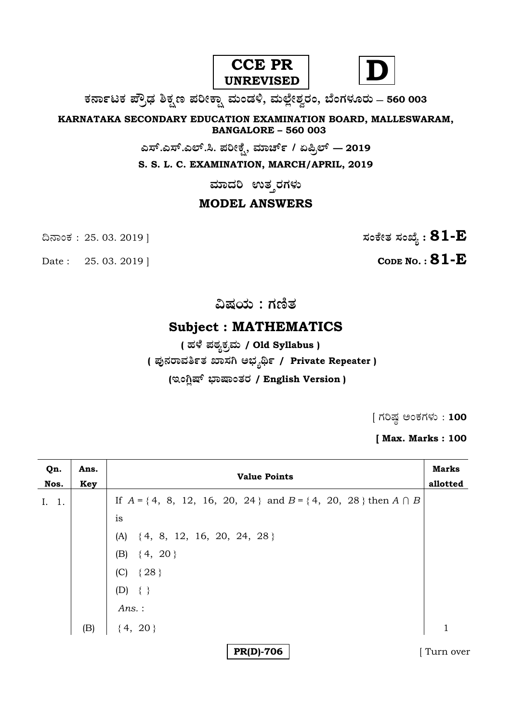



# **O⁄´¤%lO⁄ ÆË√v⁄ ÃO⁄–y Æ⁄¬fiO¤– »⁄flMs⁄ÿ, »⁄fl≈Ê«fiÀ⁄ ¡⁄M, ∑ÊMV⁄◊⁄‡¡⁄fl — 560 003**

**KARNATAKA SECONDARY EDUCATION EXAMINATION BOARD, MALLESWARAM, BANGALORE – 560 003** 

**G—È.G—È.G≈È.". Æ⁄¬fiOÊ⁄–, »⁄·¤^È% / HØ√≈È — 2019**

**S. S. L. C. EXAMINATION, MARCH/APRIL, 2019** 

 $\overline{\phantom{a}}$ ಮಾದರಿ ಉತ**್ತರಗ**ಳು

# **MODEL ANSWERS**

Date : 25. 03. 2019 | **CODE NO. : 81-E** 

¶´¤MO⁄ : 25. 03. 2019 ] **—⁄MOÊfi}⁄ —⁄MSÊ¿ : 81-E**

**…Œ⁄æ⁄fl : V⁄{}⁄**

# **Subject : MATHEMATICS**

 **( '⁄◊Ê⁄ Æ⁄p⁄¿O⁄√»⁄fl / Old Syllabus ) ( Æ⁄'¥´⁄¡¤»⁄~%}⁄ S¤—⁄W @∫⁄¥¿£% / Private Repeater )** (ಇಂಗ್ಷಿಷ್ ಭಾಷಾಂತರ / English Version )

 $[$  ಗರಿಷ್ಣ ಅಂಕಗಳು : 100

**[ Max. Marks : 100** 

| Qn.<br>Nos. | Ans.<br>Key | <b>Value Points</b>                                                       | <b>Marks</b><br>allotted |
|-------------|-------------|---------------------------------------------------------------------------|--------------------------|
| I. 1.       |             | If $A = \{4, 8, 12, 16, 20, 24\}$ and $B = \{4, 20, 28\}$ then $A \cap B$ |                          |
|             |             | is                                                                        |                          |
|             |             | $(A) \{4, 8, 12, 16, 20, 24, 28\}$                                        |                          |
|             |             | (B) $\{4, 20\}$                                                           |                          |
|             |             | (C) $\{28\}$                                                              |                          |
|             |             | $(D) \{\}$                                                                |                          |
|             |             | Ans.:                                                                     |                          |
|             | (B)         | $\{4, 20\}$                                                               | $\mathbf{1}$             |
|             |             | <b>PR(D)-706</b>                                                          | Turn over                |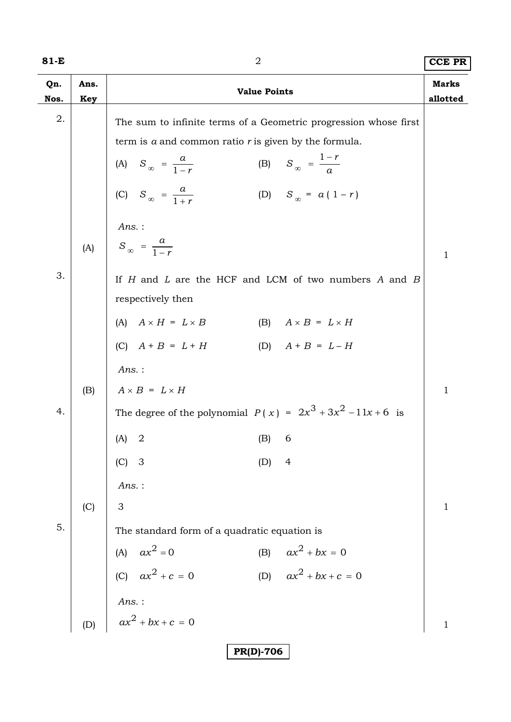| I<br>×<br>۰. |  |
|--------------|--|
|--------------|--|

| 81-E        |             | 2                                                                                                   | <b>CCE PR</b>            |
|-------------|-------------|-----------------------------------------------------------------------------------------------------|--------------------------|
| Qn.<br>Nos. | Ans.<br>Key | <b>Value Points</b>                                                                                 | <b>Marks</b><br>allotted |
| 2.          |             | The sum to infinite terms of a Geometric progression whose first                                    |                          |
|             |             | term is $a$ and common ratio $r$ is given by the formula.                                           |                          |
|             |             | (B) $S_{\infty} = \frac{1-r}{a}$                                                                    |                          |
|             |             | (A) $S_{\infty} = \frac{a}{1-r}$<br>(C) $S_{\infty} = \frac{a}{1+r}$<br>(D) $S_{\infty} = a(1 - r)$ |                          |
|             |             | Ans.:                                                                                               |                          |
|             | (A)         | $S_{\infty} = \frac{a}{1-r}$                                                                        | $\mathbf{1}$             |
| 3.          |             | If $H$ and $L$ are the HCF and LCM of two numbers $A$ and $B$                                       |                          |
|             |             | respectively then                                                                                   |                          |
|             |             | (A) $A \times H = L \times B$<br>(B) $A \times B = L \times H$                                      |                          |
|             |             | (C) $A + B = L + H$<br>(D) $A + B = L - H$                                                          |                          |
|             |             | $Ans.$ :                                                                                            |                          |
|             | (B)         | $A \times B = L \times H$                                                                           | $\mathbf{1}$             |
| 4.          |             | The degree of the polynomial $P(x) = 2x^3 + 3x^2 - 11x + 6$ is                                      |                          |
|             |             | $(A)$ 2<br>$(B)$ 6                                                                                  |                          |
|             |             | $(C)$ 3<br>$\overline{4}$<br>(D)                                                                    |                          |
|             |             | Ans.:                                                                                               |                          |
|             | (C)         | 3                                                                                                   | $\mathbf{1}$             |
| 5.          |             | The standard form of a quadratic equation is                                                        |                          |
|             |             | (B) $ax^2 + bx = 0$                                                                                 |                          |
|             |             | (A) $ax^2 = 0$<br>(C) $ax^2 + c = 0$<br>(D) $ax^2 + bx + c = 0$                                     |                          |
|             |             |                                                                                                     |                          |
|             | (D)         | <i>Ans.</i> :<br>$ax^2 + bx + c = 0$                                                                | $\mathbf{1}$             |
|             |             |                                                                                                     |                          |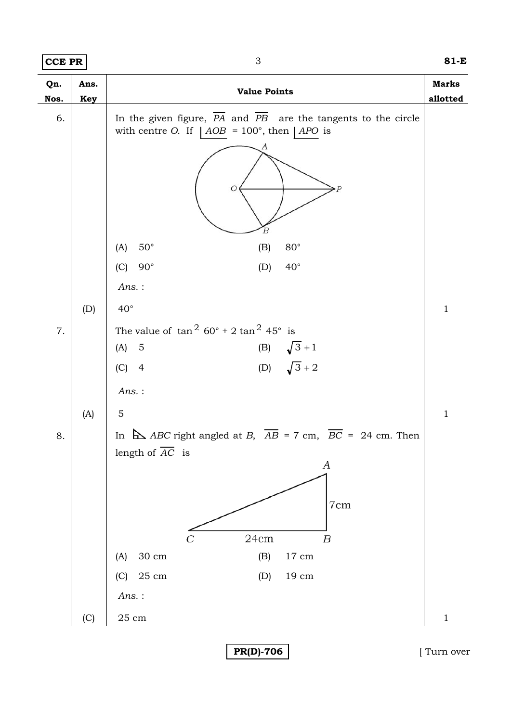**CCE PR** 3 **81-E**

| Qn.<br>Nos. | Ans.<br><b>Key</b> | <b>Value Points</b>                                                                                                       | <b>Marks</b><br>allotted |
|-------------|--------------------|---------------------------------------------------------------------------------------------------------------------------|--------------------------|
| 6.          |                    | In the given figure, PA and PB are the tangents to the circle<br>with centre O. If $ AOB = 100^{\circ}$ , then $  APO$ is |                          |
|             |                    | O<br>В                                                                                                                    |                          |
|             |                    | $50^{\circ}$<br>$80^{\circ}$<br>(A)<br>(B)                                                                                |                          |
|             |                    | $(C)$ 90°<br>$40^{\circ}$<br>(D)                                                                                          |                          |
|             |                    | $Ans.$ :                                                                                                                  |                          |
|             | (D)                | $40^{\circ}$                                                                                                              | $\mathbf{1}$             |
| $7. \,$     |                    | The value of $\tan^2 60^\circ + 2 \tan^2 45^\circ$ is                                                                     |                          |
|             |                    | (B) $\sqrt{3} + 1$<br>(D) $\sqrt{3} + 2$<br>$(A)$ 5                                                                       |                          |
|             |                    | $(C)$ 4                                                                                                                   |                          |
|             |                    | $Ans.$ :                                                                                                                  |                          |
|             | (A)                | $\mathbf 5$                                                                                                               | $\mathbf{1}$             |
| 8.          |                    | In $\Delta$ ABC right angled at B, $\overline{AB} = 7$ cm, $\overline{BC} = 24$ cm. Then                                  |                          |
|             |                    | length of AC is                                                                                                           |                          |
|             |                    | А                                                                                                                         |                          |
|             |                    | 7cm                                                                                                                       |                          |
|             |                    |                                                                                                                           |                          |
|             |                    | 24cm<br>$\boldsymbol{B}$                                                                                                  |                          |
|             |                    | $30 \text{ cm}$<br>(B)<br>$17 \text{ cm}$<br>(A)                                                                          |                          |
|             |                    | (C) 25 cm<br>(D)<br>$19\ {\rm cm}$                                                                                        |                          |
|             |                    | $Ans.$ :                                                                                                                  |                          |
|             | (C)                | $25\;{\rm cm}$                                                                                                            | $\mathbf 1$              |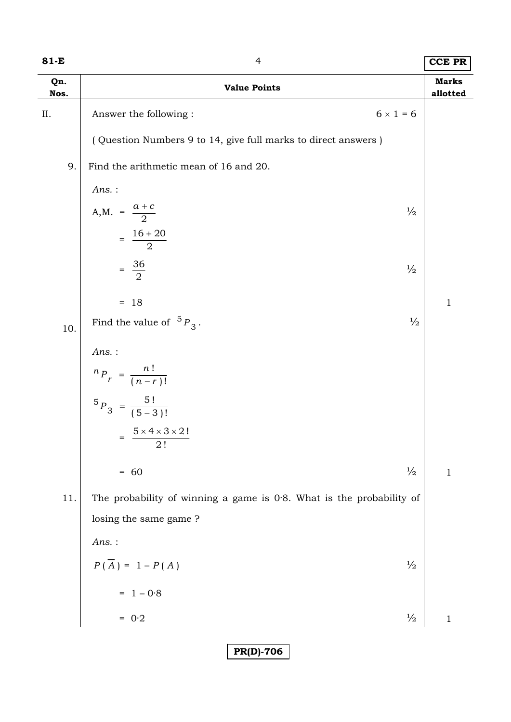| Qn.<br>Nos. | <b>Value Points</b>                                                     |               | <b>Marks</b><br>allotted |
|-------------|-------------------------------------------------------------------------|---------------|--------------------------|
| ΙΙ.         | $6 \times 1 = 6$<br>Answer the following:                               |               |                          |
|             | (Question Numbers 9 to 14, give full marks to direct answers)           |               |                          |
| 9.          | Find the arithmetic mean of 16 and 20.                                  |               |                          |
|             | Ans.:                                                                   |               |                          |
|             | A,M. = $\frac{a + c}{2}$                                                | $\frac{1}{2}$ |                          |
|             | $=\frac{16+20}{2}$                                                      |               |                          |
|             | $=\frac{36}{2}$                                                         | $\frac{1}{2}$ |                          |
|             | $= 18$                                                                  |               | $\mathbf{1}$             |
| 10.         | Find the value of ${}^5P_3$ .                                           | $\frac{1}{2}$ |                          |
|             | $Ans.$ :                                                                |               |                          |
|             | ${}^{n}P_{r} = \frac{n!}{(n-r)!}$                                       |               |                          |
|             | ${}^{5}P_3 = \frac{5!}{(5-3)!}$                                         |               |                          |
|             | $= \frac{5 \times 4 \times 3 \times 2!}{2!}$                            |               |                          |
|             | $= 60$                                                                  | $\frac{1}{2}$ | $\mathbf{1}$             |
| 11.         | The probability of winning a game is $0.8$ . What is the probability of |               |                          |
|             | losing the same game?                                                   |               |                          |
|             | $Ans.$ :                                                                |               |                          |
|             | $P(\overline{A}) = 1 - P(A)$                                            | $\frac{1}{2}$ |                          |
|             | $= 1 - 0.8$                                                             |               |                          |
|             | $= 0.2$                                                                 | $\frac{1}{2}$ | $\mathbf{1}$             |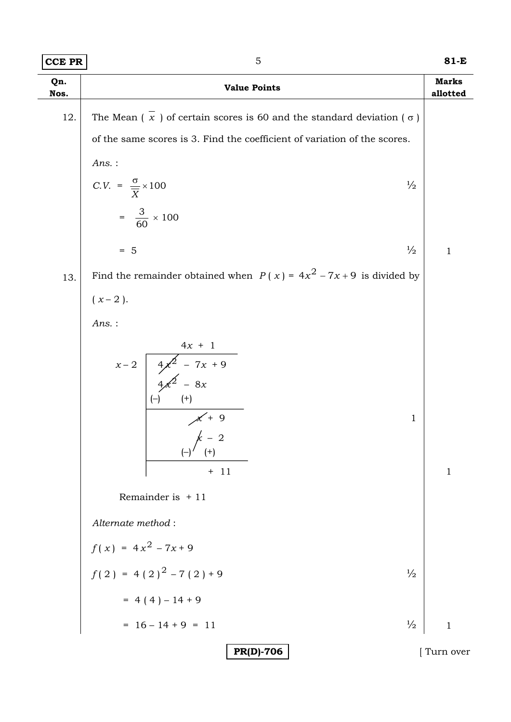| Qn.<br>Nos. | <b>Value Points</b>                                                                                                                                                        | <b>Marks</b><br>allotted |
|-------------|----------------------------------------------------------------------------------------------------------------------------------------------------------------------------|--------------------------|
| 12.         | The Mean $(\bar{x})$ of certain scores is 60 and the standard deviation $(\sigma)$                                                                                         |                          |
|             | of the same scores is 3. Find the coefficient of variation of the scores.                                                                                                  |                          |
|             | Ans. :                                                                                                                                                                     |                          |
|             | C.V. = $\frac{\sigma}{\overline{X}} \times 100$<br>$\frac{1}{2}$                                                                                                           |                          |
|             | $=\frac{3}{60} \times 100$                                                                                                                                                 |                          |
|             | $\frac{1}{2}$<br>$= 5$                                                                                                                                                     | $\mathbf{1}$             |
| 13.         | Find the remainder obtained when $P(x) = 4x^2 - 7x + 9$ is divided by                                                                                                      |                          |
|             | $(x-2)$ .                                                                                                                                                                  |                          |
|             | Ans. :                                                                                                                                                                     |                          |
|             | $x-2$ $4x + 1$<br>$4x^2 - 7x + 9$<br>$4x^2 - 8x$<br>$(+)$<br>$\begin{array}{c}\nX + 9 \\ \downarrow & 0\n\end{array}$<br>1<br>$(-)'$ $(+)$<br>$+ 11$<br>Remainder is $+11$ | $\mathbf{1}$             |
|             | Alternate method:                                                                                                                                                          |                          |
|             | $f(x) = 4x^2 - 7x + 9$                                                                                                                                                     |                          |
|             | $f(2) = 4(2)^{2} - 7(2) + 9$<br>$\frac{1}{2}$                                                                                                                              |                          |
|             | $= 4(4)-14+9$                                                                                                                                                              |                          |
|             | $= 16 - 14 + 9 = 11$<br>$\frac{1}{2}$                                                                                                                                      | $\mathbf{1}$             |
|             | <b>PR(D)-706</b>                                                                                                                                                           | Turn over                |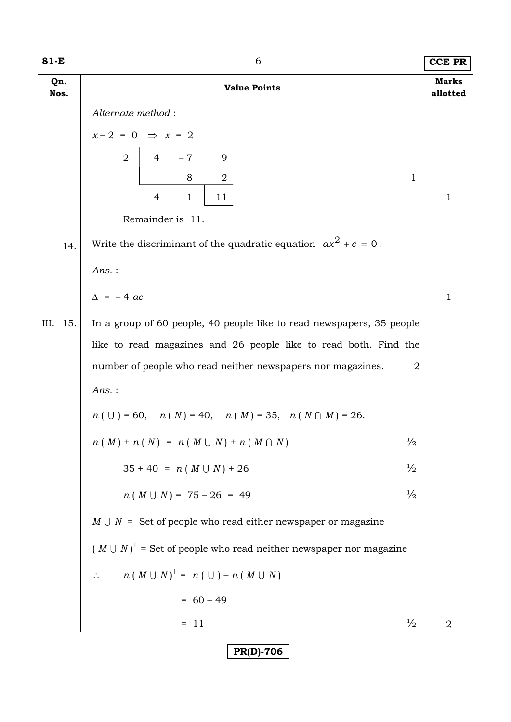| 81-E        | 6<br><b>CCE PR</b>                                                                    |                                 |
|-------------|---------------------------------------------------------------------------------------|---------------------------------|
| Qn.<br>Nos. | <b>Value Points</b>                                                                   | <b>Marks</b><br>allotted        |
|             | Alternate method:                                                                     |                                 |
|             | $x-2 = 0 \Rightarrow x = 2$                                                           |                                 |
|             | $\overline{2}$<br>$-7$<br>9<br>$\overline{4}$                                         |                                 |
|             | 8<br>$\overline{a}$                                                                   | $\mathbf{1}$                    |
|             | $\overline{4}$<br>11<br>$\mathbf{1}$                                                  | $\mathbf{1}$                    |
|             | Remainder is 11.                                                                      |                                 |
| 14.         | Write the discriminant of the quadratic equation $ax^2 + c = 0$ .                     |                                 |
|             | Ans.:                                                                                 |                                 |
|             | $\Delta$ = -4 ac                                                                      | $\mathbf{1}$                    |
| III. 15.    | In a group of 60 people, 40 people like to read newspapers, 35 people                 |                                 |
|             | like to read magazines and 26 people like to read both. Find the                      |                                 |
|             | number of people who read neither newspapers nor magazines.                           | $\overline{2}$                  |
|             | Ans.:                                                                                 |                                 |
|             | $n ( \cup ) = 60, \quad n ( N ) = 40, \quad n ( M ) = 35, \quad n ( N \cap M ) = 26.$ |                                 |
|             | $n(M) + n(N) = n(M \cup N) + n(M \cap N)$                                             | $\frac{1}{2}$                   |
|             | $35 + 40 = n (M \cup N) + 26$                                                         | $\frac{1}{2}$                   |
|             | $n(M \cup N) = 75 - 26 = 49$                                                          | $\frac{1}{2}$                   |
|             | $M \cup N$ = Set of people who read either newspaper or magazine                      |                                 |
|             | $(M \cup N)'$ = Set of people who read neither newspaper nor magazine                 |                                 |
|             | $n (M \cup N)' = n (\cup) - n (M \cup N)$<br>$\mathcal{L}_{\mathcal{C}}$              |                                 |
|             | $= 60 - 49$                                                                           |                                 |
|             | $= 11$                                                                                | $\frac{1}{2}$<br>$\overline{2}$ |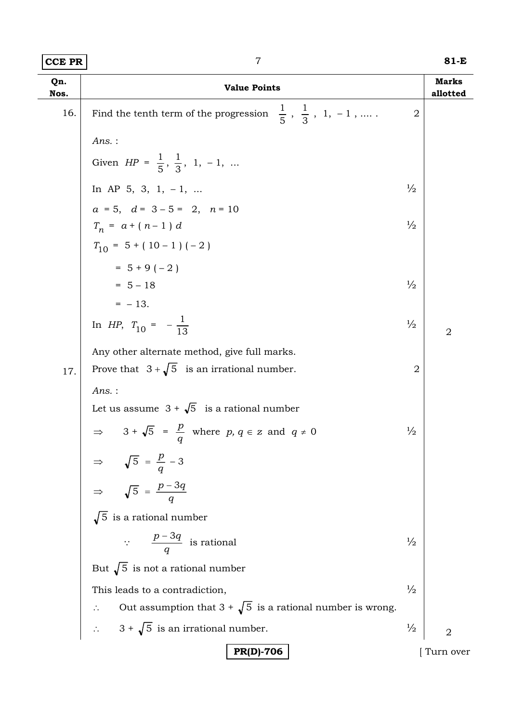| <b>CCE PR</b> | $\overline{7}$                                                                        |                | 81-E                     |
|---------------|---------------------------------------------------------------------------------------|----------------|--------------------------|
| Qn.<br>Nos.   | <b>Value Points</b>                                                                   |                | <b>Marks</b><br>allotted |
| 16.           | $\frac{1}{5}$ , $\frac{1}{3}$ , 1, -1,<br>Find the tenth term of the progression      | $\overline{2}$ |                          |
|               | $Ans.$ :                                                                              |                |                          |
|               | Given $HP = \frac{1}{5}, \frac{1}{3}, 1, -1, $                                        |                |                          |
|               | In AP 5, 3, 1, $-1$ ,                                                                 | $\frac{1}{2}$  |                          |
|               | $a = 5$ , $d = 3 - 5 = 2$ , $n = 10$                                                  |                |                          |
|               | $T_n = a + (n-1) d$                                                                   | $\frac{1}{2}$  |                          |
|               | $T_{10} = 5 + (10 - 1) (-2)$                                                          |                |                          |
|               | $= 5 + 9(-2)$                                                                         |                |                          |
|               | $= 5 - 18$                                                                            | $\frac{1}{2}$  |                          |
|               | $=$ - 13.                                                                             |                |                          |
|               | In HP, $T_{10} = -\frac{1}{13}$                                                       | $\frac{1}{2}$  | $\overline{2}$           |
|               | Any other alternate method, give full marks.                                          |                |                          |
| 17.           | Prove that $3+\sqrt{5}$ is an irrational number.                                      | $\overline{2}$ |                          |
|               | $Ans.$ :                                                                              |                |                          |
|               | Let us assume $3 + \sqrt{5}$ is a rational number                                     |                |                          |
|               | $\Rightarrow$ 3 + $\sqrt{5}$ = $\frac{p}{q}$ where p, q $\in$ z and q $\neq$ 0        | $\frac{1}{2}$  |                          |
|               |                                                                                       |                |                          |
|               | $\Rightarrow \sqrt{5} = \frac{p}{q} - 3$<br>$\Rightarrow \sqrt{5} = \frac{p - 3q}{q}$ |                |                          |
|               | $\sqrt{5}$ is a rational number                                                       |                |                          |
|               | $\therefore$ $\frac{p-3q}{q}$ is rational                                             | $\frac{1}{2}$  |                          |
|               | But $\sqrt{5}$ is not a rational number                                               |                |                          |
|               | This leads to a contradiction,                                                        | $\frac{1}{2}$  |                          |
|               | $\therefore$ Out assumption that 3 + $\sqrt{5}$ is a rational number is wrong.        |                |                          |
|               | $\therefore$ 3 + $\sqrt{5}$ is an irrational number.                                  | $\frac{1}{2}$  | $\overline{2}$           |
|               | <b>PR(D)-706</b>                                                                      |                | Turn over                |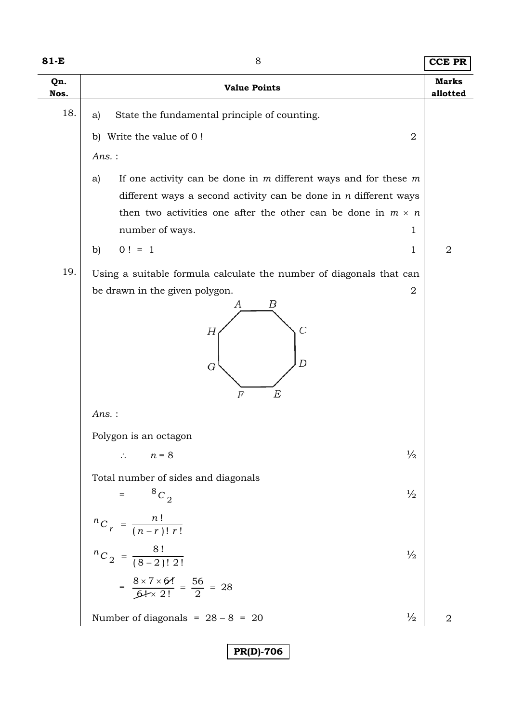| Qn.<br>Nos.<br>18.<br>State the fundamental principle of counting.<br>a)<br>Write the value of 0!<br>b)<br>$Ans.$ :<br>a)<br>number of ways.<br>$0! = 1$<br>b)<br>19.<br>be drawn in the given polygon.<br>А<br>Н<br>G<br>$Ans.$ :<br>Polygon is an octagon<br>$\therefore$ $n = 8$<br>Total number of sides and diagonals | <b>Value Points</b><br>2<br>If one activity can be done in $m$ different ways and for these $m$<br>different ways a second activity can be done in $n$ different ways<br>then two activities one after the other can be done in $m \times n$<br>1<br>1<br>Using a suitable formula calculate the number of diagonals that can<br>2<br>Β<br>$\overline{C}$<br>D | <b>Marks</b><br>allotted<br>2 |
|----------------------------------------------------------------------------------------------------------------------------------------------------------------------------------------------------------------------------------------------------------------------------------------------------------------------------|----------------------------------------------------------------------------------------------------------------------------------------------------------------------------------------------------------------------------------------------------------------------------------------------------------------------------------------------------------------|-------------------------------|
|                                                                                                                                                                                                                                                                                                                            |                                                                                                                                                                                                                                                                                                                                                                |                               |
|                                                                                                                                                                                                                                                                                                                            |                                                                                                                                                                                                                                                                                                                                                                |                               |
|                                                                                                                                                                                                                                                                                                                            |                                                                                                                                                                                                                                                                                                                                                                |                               |
|                                                                                                                                                                                                                                                                                                                            |                                                                                                                                                                                                                                                                                                                                                                |                               |
|                                                                                                                                                                                                                                                                                                                            |                                                                                                                                                                                                                                                                                                                                                                |                               |
|                                                                                                                                                                                                                                                                                                                            |                                                                                                                                                                                                                                                                                                                                                                |                               |
|                                                                                                                                                                                                                                                                                                                            |                                                                                                                                                                                                                                                                                                                                                                |                               |
|                                                                                                                                                                                                                                                                                                                            |                                                                                                                                                                                                                                                                                                                                                                |                               |
|                                                                                                                                                                                                                                                                                                                            | E<br>$_{F}$                                                                                                                                                                                                                                                                                                                                                    |                               |
|                                                                                                                                                                                                                                                                                                                            |                                                                                                                                                                                                                                                                                                                                                                |                               |
|                                                                                                                                                                                                                                                                                                                            | $\frac{1}{2}$                                                                                                                                                                                                                                                                                                                                                  |                               |
| $8C_2$                                                                                                                                                                                                                                                                                                                     | $\frac{1}{2}$                                                                                                                                                                                                                                                                                                                                                  |                               |
| ${}^{n}C_{r} = \frac{n!}{(n-r)! r!}$                                                                                                                                                                                                                                                                                       |                                                                                                                                                                                                                                                                                                                                                                |                               |
| ${}^{n}C_2 = \frac{8!}{(8-2)! \ 2!}$                                                                                                                                                                                                                                                                                       | $\frac{1}{2}$                                                                                                                                                                                                                                                                                                                                                  |                               |
| $=\frac{8 \times 7 \times 6!}{6! \times 2!} = \frac{56}{2} = 28$                                                                                                                                                                                                                                                           |                                                                                                                                                                                                                                                                                                                                                                |                               |
| Number of diagonals = $28 - 8 = 20$                                                                                                                                                                                                                                                                                        | $\frac{1}{2}$                                                                                                                                                                                                                                                                                                                                                  | $\overline{2}$                |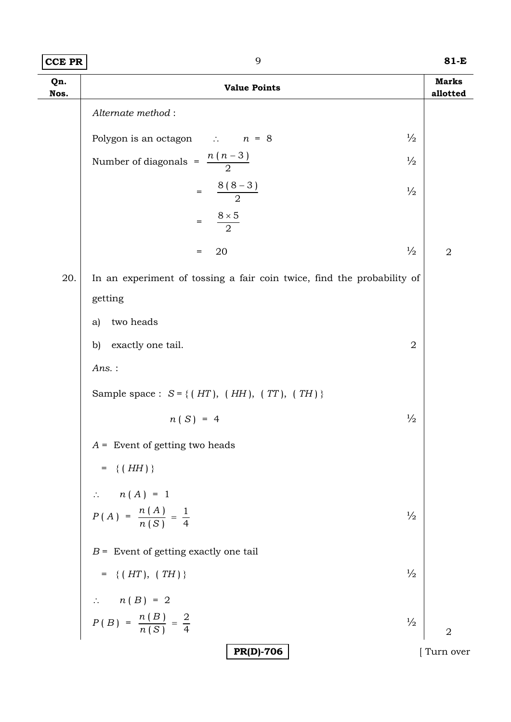| CCE PR | $81-E$ |
|--------|--------|
|        |        |

| Qn.<br>Nos. | <b>Value Points</b>                                                     | <b>Marks</b><br>allotted |
|-------------|-------------------------------------------------------------------------|--------------------------|
|             | Alternate method:                                                       |                          |
|             | $\frac{1}{2}$<br>Polygon is an octagon $\therefore$ $n = 8$             |                          |
|             | Number of diagonals = $\frac{n(n-3)}{2}$<br>$\frac{1}{2}$               |                          |
|             | $=\frac{8(8-3)}{2}$<br>$\frac{1}{2}$                                    |                          |
|             | $\frac{8\times5}{2}$<br>$\qquad \qquad =$                               |                          |
|             | $\frac{1}{2}$<br>20<br>$=$                                              | $\sqrt{2}$               |
| 20.         | In an experiment of tossing a fair coin twice, find the probability of  |                          |
|             | getting                                                                 |                          |
|             | two heads<br>a)                                                         |                          |
|             | exactly one tail.<br>$\overline{2}$<br>$\mathbf{b}$                     |                          |
|             | Ans.:                                                                   |                          |
|             | Sample space : $S = \{(HT), (HH), (TT), (TH)\}\$                        |                          |
|             | $\frac{1}{2}$<br>$n(S) = 4$                                             |                          |
|             | $A =$ Event of getting two heads                                        |                          |
|             | = { $(HH)$ }                                                            |                          |
|             |                                                                         |                          |
|             | $n(A) = 1$<br>$P(A) = \frac{n(A)}{n(S)} = \frac{1}{4}$<br>$\frac{1}{2}$ |                          |
|             | $B =$ Event of getting exactly one tail                                 |                          |
|             | = {( $HT$ ), (TH)}<br>$\frac{1}{2}$                                     |                          |
|             |                                                                         |                          |
|             | $n(B) = 2$<br>$P(B) = \frac{n(B)}{n(S)} = \frac{2}{4}$<br>$\frac{1}{2}$ | $\overline{2}$           |
|             | <b>PR(D)-706</b>                                                        | Turn over                |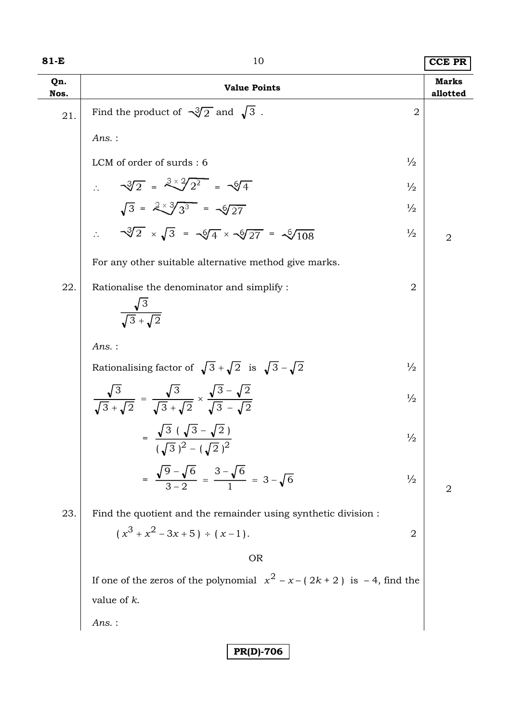| 81-E        | 10                                                                                                                           |                | <b>CCE PR</b>            |
|-------------|------------------------------------------------------------------------------------------------------------------------------|----------------|--------------------------|
| Qn.<br>Nos. | <b>Value Points</b>                                                                                                          |                | <b>Marks</b><br>allotted |
| 21.         | Find the product of $\sqrt{3}/2$ and $\sqrt{3}$ .                                                                            | $\overline{2}$ |                          |
|             | Ans.:                                                                                                                        |                |                          |
|             | LCM of order of surds: 6                                                                                                     | $\frac{1}{2}$  |                          |
|             | $\sqrt{3}/2 = \sqrt[3]{2} = \sqrt[3]{4}$                                                                                     | $\frac{1}{2}$  |                          |
|             | $\sqrt{3} = \sqrt[2x]{3^3} = \sqrt{27}$                                                                                      | $\frac{1}{2}$  |                          |
|             | $\sqrt{3}/2 \times \sqrt{3} = \sqrt{4} \times \sqrt{27} = \sqrt{108}$                                                        | $\frac{1}{2}$  | $\overline{2}$           |
|             | For any other suitable alternative method give marks.                                                                        |                |                          |
| 22.         | Rationalise the denominator and simplify :<br>$\frac{\sqrt{3}}{\sqrt{3}+\sqrt{2}}$                                           | $\overline{2}$ |                          |
|             | Ans.:                                                                                                                        |                |                          |
|             | Rationalising factor of $\sqrt{3} + \sqrt{2}$ is $\sqrt{3} - \sqrt{2}$                                                       | $\frac{1}{2}$  |                          |
|             | $\frac{\sqrt{3}}{\sqrt{3}+\sqrt{2}} = \frac{\sqrt{3}}{\sqrt{3}+\sqrt{2}} \times \frac{\sqrt{3}-\sqrt{2}}{\sqrt{3}-\sqrt{2}}$ | $\frac{1}{2}$  |                          |
|             | $\sqrt{3}$ ( $\sqrt{3}$ – $\sqrt{2}$ )<br>$\frac{1}{(\sqrt{3})^2 - (\sqrt{2})^2}$                                            | $\frac{1}{2}$  |                          |
|             | $=\frac{\sqrt{9}-\sqrt{6}}{3-2}=\frac{3-\sqrt{6}}{1}=3-\sqrt{6}$                                                             | $\frac{1}{2}$  | $\overline{2}$           |
| 23.         | Find the quotient and the remainder using synthetic division :                                                               |                |                          |
|             | $(x^{3} + x^{2} - 3x + 5) \div (x - 1).$                                                                                     | $\sqrt{2}$     |                          |
|             | <b>OR</b>                                                                                                                    |                |                          |
|             | If one of the zeros of the polynomial $x^2 - x - (2k + 2)$ is $-4$ , find the                                                |                |                          |
|             | value of $k$ .                                                                                                               |                |                          |
|             | Ans.:                                                                                                                        |                |                          |
|             | <b>PR(D)-706</b>                                                                                                             |                |                          |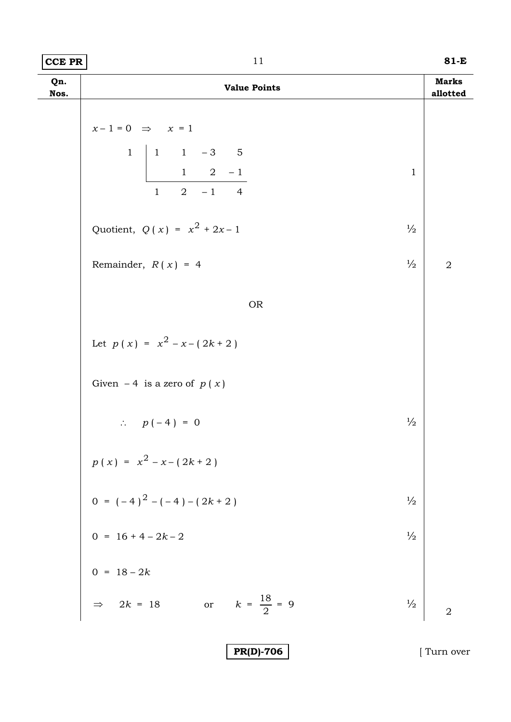| $ CCE$ PR | 81-E |
|-----------|------|
|           |      |

| Qn.<br>Nos. | <b>Value Points</b>                                                                                                                                | <b>Marks</b><br>allotted |
|-------------|----------------------------------------------------------------------------------------------------------------------------------------------------|--------------------------|
|             | $x-1=0$ $\Rightarrow$ $x=1$<br>$\mathbf{1}$<br>$\begin{vmatrix} 1 & 1 & -3 & 5 \\ 1 & 2 & -1 \end{vmatrix}$<br>$\mathbf{1}$<br>$1 \t 2 \t -1 \t 4$ |                          |
|             | Quotient, $Q(x) = x^2 + 2x - 1$<br>$\frac{1}{2}$                                                                                                   |                          |
|             | $\frac{1}{2}$<br>Remainder, $R(x) = 4$                                                                                                             | $\sqrt{2}$               |
|             | <b>OR</b>                                                                                                                                          |                          |
|             | Let $p(x) = x^2 - x - (2k + 2)$                                                                                                                    |                          |
|             | Given $-4$ is a zero of $p(x)$                                                                                                                     |                          |
|             | $\frac{1}{2}$<br>$\therefore p(-4) = 0$                                                                                                            |                          |
|             | $p(x) = x^{2} - x - (2k + 2)$                                                                                                                      |                          |
|             | 0 = $(-4)^2 - (-4) - (2k + 2)$<br>0 = 16 + 4 - 2k - 2<br>$\frac{1}{2}$                                                                             |                          |
|             | $\frac{1}{2}$                                                                                                                                      |                          |
|             |                                                                                                                                                    |                          |
|             | 0 = $18 - 2k$<br>$\Rightarrow 2k = 18$<br>$k = \frac{18}{2} = 9$<br>$\mathbf{or}$<br>$\frac{1}{2}$                                                 | $\overline{2}$           |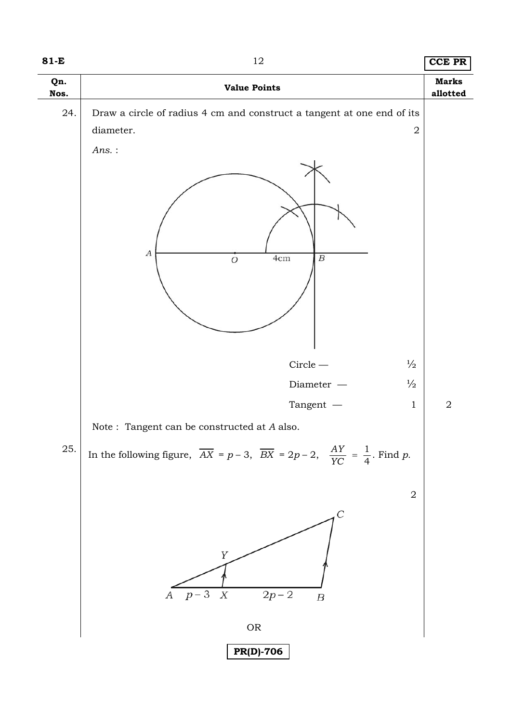| 81-E        | 12                                                                                                                    | <b>CCE PR</b> |  |  |
|-------------|-----------------------------------------------------------------------------------------------------------------------|---------------|--|--|
| Qn.<br>Nos. | <b>Value Points</b>                                                                                                   |               |  |  |
| 24.         | Draw a circle of radius 4 cm and construct a tangent at one end of its<br>diameter.<br>$\overline{2}$<br>$Ans.$ :     |               |  |  |
|             | $\boldsymbol{A}$<br>4cm<br>$\boldsymbol{B}$<br>$\overline{O}$                                                         |               |  |  |
|             | $\frac{1}{2}$<br>$\mbox{Circle} \, - \,$                                                                              |               |  |  |
|             | $\frac{1}{2}$<br>$Diameter$ $\,-\,$                                                                                   |               |  |  |
|             | Tangent $-$<br>$\mathbf{1}$                                                                                           | $\sqrt{2}$    |  |  |
|             | Note : Tangent can be constructed at $\boldsymbol{A}$ also.                                                           |               |  |  |
| 25.         | In the following figure, $\overline{AX} = p - 3$ , $\overline{BX} = 2p - 2$ , $\frac{AY}{YC} = \frac{1}{4}$ . Find p. |               |  |  |
|             | $\sqrt{2}$                                                                                                            |               |  |  |
|             | $\mathcal{C}_{0}^{0}$<br>Y<br>$p-3$<br>$\boldsymbol{X}$<br>$2p - 2$<br>А<br>$\boldsymbol{B}$                          |               |  |  |
|             | ${\sf OR}$                                                                                                            |               |  |  |
|             | <b>PR(D)-706</b>                                                                                                      |               |  |  |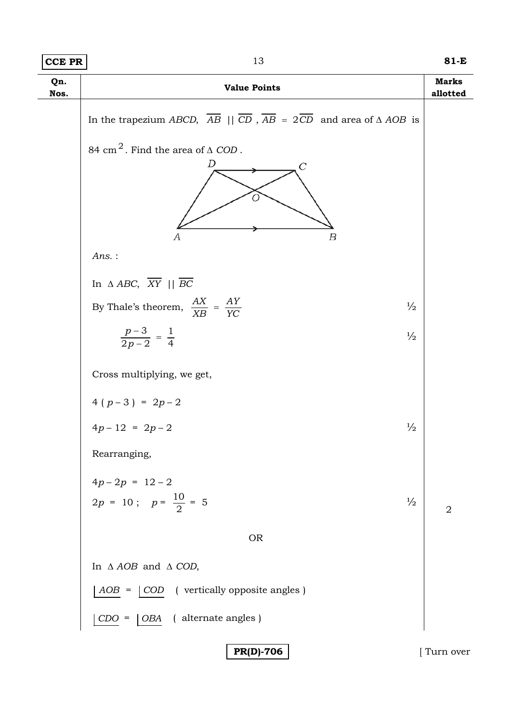| CCE PR      | 13                                                                                                                            | 81-E                     |
|-------------|-------------------------------------------------------------------------------------------------------------------------------|--------------------------|
| Qn.<br>Nos. | <b>Value Points</b>                                                                                                           | <b>Marks</b><br>allotted |
|             | In the trapezium ABCD, $\overline{AB}$    $\overline{CD}$ , $\overline{AB}$ = $2\overline{CD}$ and area of $\triangle AOB$ is |                          |
|             | 84 cm <sup>2</sup> . Find the area of $\triangle$ COD.                                                                        |                          |
|             | D<br>C<br>Ω<br>$\boldsymbol{B}$<br>А                                                                                          |                          |
|             | $Ans.$ :                                                                                                                      |                          |
|             | In $\triangle ABC$ , $\overline{XY}$    $\overline{BC}$                                                                       |                          |
|             | By Thale's theorem, $\frac{AX}{XB} = \frac{AY}{YC}$<br>$\frac{1}{2}$                                                          |                          |
|             | $\frac{p-3}{2p-2} = \frac{1}{4}$<br>$\frac{1}{2}$                                                                             |                          |
|             | Cross multiplying, we get,                                                                                                    |                          |
|             | $4(p-3) = 2p-2$                                                                                                               |                          |
|             | $4p-12 = 2p-2$<br>$\frac{1}{2}$                                                                                               |                          |
|             | Rearranging,                                                                                                                  |                          |
|             | $4p-2p = 12-2$<br>$2p = 10$ ; $p = \frac{10}{2} = 5$<br>$\frac{1}{2}$                                                         | $\overline{2}$           |
|             | <b>OR</b>                                                                                                                     |                          |
|             | In $\triangle AOB$ and $\triangle COD$ ,                                                                                      |                          |
|             | ( vertically opposite angles )<br>$AOB =$<br>$\vert$ COD                                                                      |                          |
|             | OBA ( alternate angles )<br>$CDO =$                                                                                           |                          |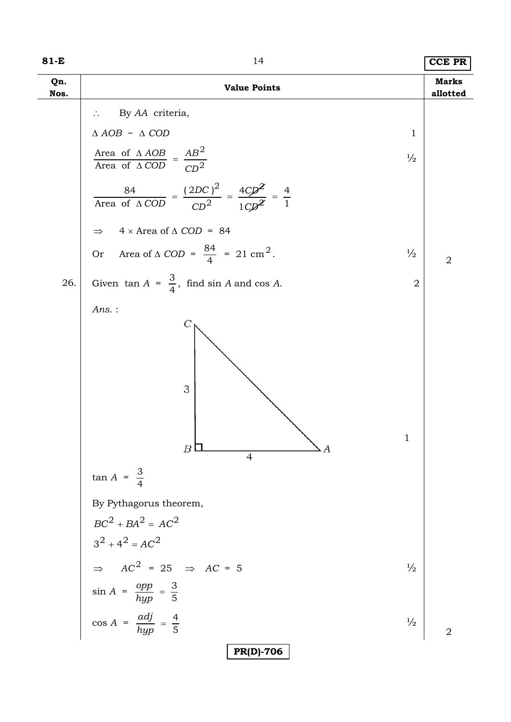| 81-E        | 14<br><b>Value Points</b>                                                                                                     |                |  |  |
|-------------|-------------------------------------------------------------------------------------------------------------------------------|----------------|--|--|
| Qn.<br>Nos. |                                                                                                                               |                |  |  |
|             | By AA criteria,                                                                                                               |                |  |  |
|             | $\Delta$ AOB $~\sim~\Delta$ COD<br>$\mathbf{1}$                                                                               |                |  |  |
|             | Area of $\triangle AOB$<br>Area of $\triangle COD$ = $\frac{AB^2}{CD^2}$<br>$\frac{1}{2}$                                     |                |  |  |
|             | $\frac{84}{\text{Area of }\Delta COD} = \frac{(2DC)^2}{CD^2} = \frac{4CD^2}{1CD^2} = \frac{4}{1}$                             |                |  |  |
|             | $4 \times$ Area of $\triangle$ COD = 84<br>$\Rightarrow$                                                                      |                |  |  |
|             | Or Area of $\triangle$ COD = $\frac{84}{4}$ = 21 cm <sup>2</sup> .<br>$\frac{1}{2}$                                           | $\overline{2}$ |  |  |
| 26.         | Given $\tan A = \frac{3}{4}$ , find $\sin A$ and $\cos A$ .<br>$\overline{2}$                                                 |                |  |  |
|             | $Ans.$ :<br>3<br>1<br>$\boldsymbol{B}$<br>4<br>$\tan A = \frac{3}{4}$<br>By Pythagorus theorem,<br>$BC^{2} + BA^{2} = AC^{2}$ |                |  |  |
|             | $3^2 + 4^2 = AC^2$<br>$\Rightarrow AC^2 = 25 \Rightarrow AC = 5$<br>$\sin A = \frac{opp}{hyp} = \frac{3}{5}$<br>$\frac{1}{2}$ |                |  |  |
|             |                                                                                                                               |                |  |  |
|             | $\cos A = \frac{adj}{hyp} = \frac{4}{5}$<br>$\frac{1}{2}$                                                                     | $\overline{2}$ |  |  |
|             | <b>PR(D)-706</b>                                                                                                              |                |  |  |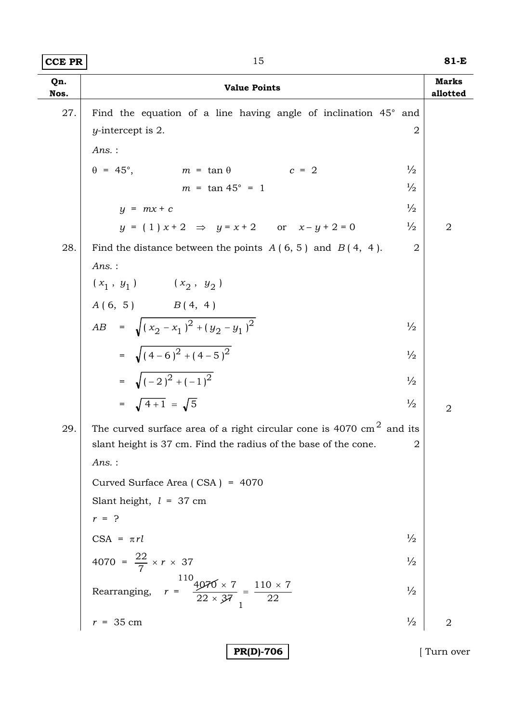J.

| <b>CCE PR</b> | 15                                                                             |                                 |  |  |
|---------------|--------------------------------------------------------------------------------|---------------------------------|--|--|
| Qn.<br>Nos.   | <b>Value Points</b>                                                            |                                 |  |  |
| 27.           | Find the equation of a line having angle of inclination 45° and                |                                 |  |  |
|               | $y$ -intercept is 2.                                                           | $\overline{2}$                  |  |  |
|               | $Ans.$ :                                                                       |                                 |  |  |
|               | $\theta = 45^{\circ}, \qquad m = \tan \theta \qquad c = 2$                     | $\frac{1}{2}$                   |  |  |
|               | $m = \tan 45^{\circ} = 1$                                                      | $\frac{1}{2}$                   |  |  |
|               | $y = mx + c$                                                                   | $\frac{1}{2}$                   |  |  |
|               | $y = (1) x + 2 \implies y = x + 2$ or $x - y + 2 = 0$                          | $\frac{1}{2}$<br>$\overline{2}$ |  |  |
| 28.           | Find the distance between the points $A(6, 5)$ and $B(4, 4)$ .                 | $\overline{2}$                  |  |  |
|               | $Ans.$ :                                                                       |                                 |  |  |
|               | $(\,x_1 \;,\; y_1\,) \qquad \quad (\,x_2 \;,\; y_2\,)$                         |                                 |  |  |
|               | $A(6, 5)$ $B(4, 4)$                                                            |                                 |  |  |
|               | $AB = \sqrt{(x_2 - x_1)^2 + (y_2 - y_1)^2}$                                    | $\frac{1}{2}$                   |  |  |
|               | = $\sqrt{(4-6)^2+(4-5)^2}$                                                     | $\frac{1}{2}$                   |  |  |
|               | = $\sqrt{(-2)^2 + (-1)^2}$                                                     | $\frac{1}{2}$                   |  |  |
|               | = $\sqrt{4+1}$ = $\sqrt{5}$                                                    | $\frac{1}{2}$<br>$\overline{2}$ |  |  |
| 29.           | The curved surface area of a right circular cone is 4070 $\text{cm}^2$ and its |                                 |  |  |
|               | slant height is 37 cm. Find the radius of the base of the cone.                | 2                               |  |  |
|               | $Ans.$ :                                                                       |                                 |  |  |
|               | Curved Surface Area (CSA) = 4070                                               |                                 |  |  |
|               | Slant height, $l = 37$ cm                                                      |                                 |  |  |
|               | $r = ?$                                                                        |                                 |  |  |
|               | $CSA = \pi rl$                                                                 | $\frac{1}{2}$                   |  |  |
|               | 4070 = $\frac{22}{7} \times r \times 37$                                       | $\frac{1}{2}$                   |  |  |
|               | Rearranging, $r = \frac{110}{22 \times 37} = \frac{110 \times 7}{22}$          | $\frac{1}{2}$                   |  |  |
|               | $r = 35$ cm                                                                    | $\frac{1}{2}$<br>$\overline{2}$ |  |  |
|               | <b>PR(D)-706</b>                                                               | Turn over                       |  |  |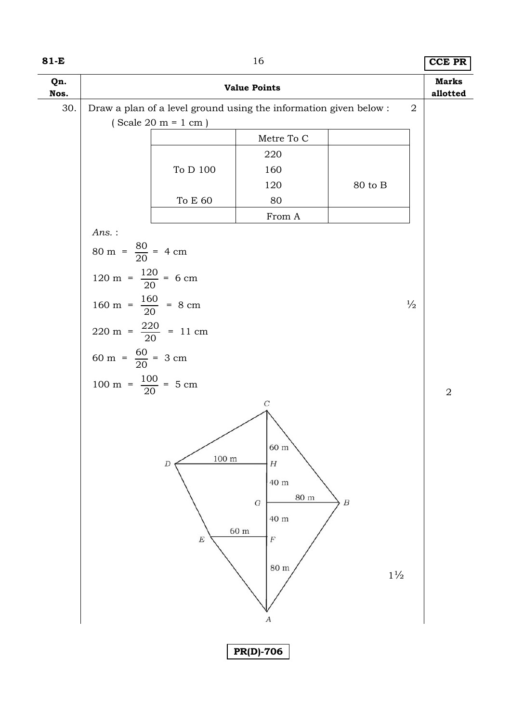| 81-E        |                                                                   | 16                          |                  | <b>CCE PR</b>  |  |  |  |
|-------------|-------------------------------------------------------------------|-----------------------------|------------------|----------------|--|--|--|
| Qn.<br>Nos. | <b>Value Points</b>                                               |                             |                  |                |  |  |  |
| 30.         | Draw a plan of a level ground using the information given below : |                             | $\overline{2}$   | allotted       |  |  |  |
|             | $(Scale 20 m = 1 cm)$                                             |                             |                  |                |  |  |  |
|             |                                                                   | Metre To C                  |                  |                |  |  |  |
|             |                                                                   | 220                         |                  |                |  |  |  |
|             | To D 100                                                          | 160                         |                  |                |  |  |  |
|             |                                                                   | 120                         | 80 to B          |                |  |  |  |
|             | To E $60$                                                         | 80                          |                  |                |  |  |  |
|             |                                                                   | From A                      |                  |                |  |  |  |
|             | Ans.:                                                             |                             |                  |                |  |  |  |
|             | $80 \text{ m} = \frac{80}{20} = 4 \text{ cm}$                     |                             |                  |                |  |  |  |
|             |                                                                   |                             |                  |                |  |  |  |
|             | 120 m = $\frac{120}{20}$ = 6 cm                                   |                             |                  |                |  |  |  |
|             | 160 m = $\frac{160}{20}$ = 8 cm                                   |                             | $\frac{1}{2}$    |                |  |  |  |
|             |                                                                   |                             |                  |                |  |  |  |
|             | $220 \text{ m} = \frac{220}{20} = 11 \text{ cm}$                  |                             |                  |                |  |  |  |
|             |                                                                   |                             |                  |                |  |  |  |
|             | 60 m = $\frac{60}{20}$ = 3 cm                                     |                             |                  |                |  |  |  |
|             | 100 m = $\frac{100}{20}$ = 5 cm                                   |                             |                  |                |  |  |  |
|             |                                                                   | $\cal C$                    |                  | $\overline{2}$ |  |  |  |
|             |                                                                   |                             |                  |                |  |  |  |
|             |                                                                   |                             |                  |                |  |  |  |
|             |                                                                   | 60 m                        |                  |                |  |  |  |
|             | $100 \text{ m}$<br>D                                              | $\boldsymbol{H}$            |                  |                |  |  |  |
|             |                                                                   | 40 m                        |                  |                |  |  |  |
|             |                                                                   | $80~\mathrm{m}$<br>$\cal G$ | $\boldsymbol{B}$ |                |  |  |  |
|             |                                                                   | 40 m                        |                  |                |  |  |  |
|             |                                                                   | 60 m                        |                  |                |  |  |  |
|             | $\boldsymbol{E}$                                                  | $\cal F$                    |                  |                |  |  |  |
|             |                                                                   |                             |                  |                |  |  |  |
|             |                                                                   | $80\ {\rm m}$               | $1\frac{1}{2}$   |                |  |  |  |
|             |                                                                   |                             |                  |                |  |  |  |
|             |                                                                   |                             |                  |                |  |  |  |
|             |                                                                   | А                           |                  |                |  |  |  |
|             |                                                                   |                             |                  |                |  |  |  |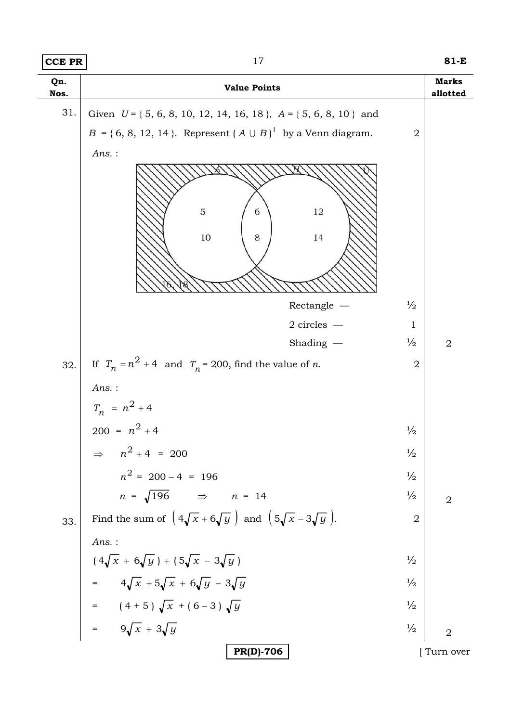| $ CCE$ PR | 81-E |
|-----------|------|
|           |      |

| Qn.<br>Nos. | <b>Value Points</b>                                                                                                                                                        |                | <b>Marks</b><br>allotted |  |  |
|-------------|----------------------------------------------------------------------------------------------------------------------------------------------------------------------------|----------------|--------------------------|--|--|
| 31.         | Given $U = \{5, 6, 8, 10, 12, 14, 16, 18\}$ , $A = \{5, 6, 8, 10\}$ and                                                                                                    |                |                          |  |  |
|             | $B = \{6, 8, 12, 14\}$ . Represent $(A \cup B)'$ by a Venn diagram.<br>$\overline{2}$                                                                                      |                |                          |  |  |
|             | $Ans.$ :                                                                                                                                                                   |                |                          |  |  |
|             |                                                                                                                                                                            |                |                          |  |  |
|             | 5<br>12<br>6                                                                                                                                                               |                |                          |  |  |
|             |                                                                                                                                                                            |                |                          |  |  |
|             | $10\,$<br>8<br>14                                                                                                                                                          |                |                          |  |  |
|             |                                                                                                                                                                            |                |                          |  |  |
|             | Rectangle $-$                                                                                                                                                              | $\frac{1}{2}$  |                          |  |  |
|             | $2$ circles $-$                                                                                                                                                            | $\mathbf{1}$   |                          |  |  |
|             | Shading $-$                                                                                                                                                                | $\frac{1}{2}$  | $\overline{2}$           |  |  |
| 32.         | If $T_n = n^2 + 4$ and $T_n = 200$ , find the value of <i>n</i> .                                                                                                          | $\overline{2}$ |                          |  |  |
|             | $Ans.$ :                                                                                                                                                                   |                |                          |  |  |
|             | $T_n = n^2 + 4$                                                                                                                                                            |                |                          |  |  |
|             | $200 = n^2 + 4$                                                                                                                                                            | $\frac{1}{2}$  |                          |  |  |
|             | $n^2 + 4 = 200$                                                                                                                                                            | $\frac{1}{2}$  |                          |  |  |
|             | $n^2 = 200 - 4 = 196$                                                                                                                                                      | $\frac{1}{2}$  |                          |  |  |
|             | $n = \sqrt{196}$ $\Rightarrow$ $n = 14$                                                                                                                                    | $\frac{1}{2}$  | $\overline{2}$           |  |  |
| 33.         | Find the sum of $\left(4\sqrt{x}+6\sqrt{y}\right)$ and $\left(5\sqrt{x}-3\sqrt{y}\right)$ .                                                                                | $\overline{2}$ |                          |  |  |
|             | $Ans.$ :                                                                                                                                                                   |                |                          |  |  |
|             |                                                                                                                                                                            | $\frac{1}{2}$  |                          |  |  |
|             | $(4\sqrt{x} + 6\sqrt{y}) + (5\sqrt{x} - 3\sqrt{y})$<br>= $4\sqrt{x} + 5\sqrt{x} + 6\sqrt{y} - 3\sqrt{y}$<br>= $(4+5)\sqrt{x} + (6-3)\sqrt{y}$<br>= $9\sqrt{x} + 3\sqrt{y}$ | $\frac{1}{2}$  |                          |  |  |
|             |                                                                                                                                                                            | $\frac{1}{2}$  |                          |  |  |
|             |                                                                                                                                                                            | $\frac{1}{2}$  | $\overline{2}$           |  |  |
|             | <b>PR(D)-706</b>                                                                                                                                                           |                | Turn over                |  |  |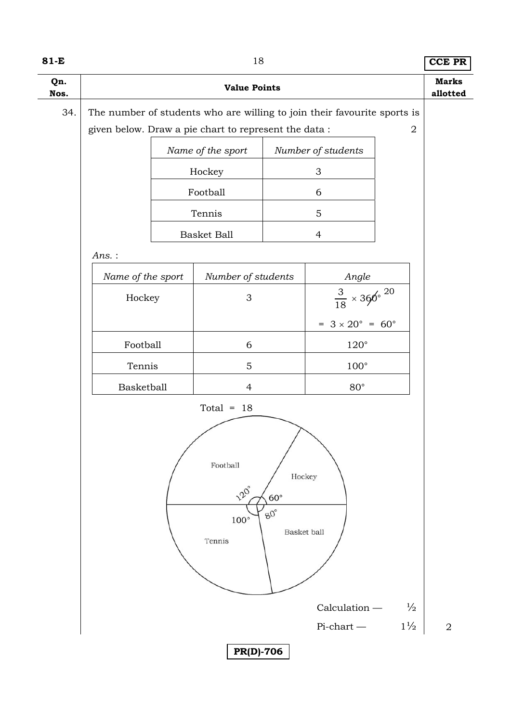| ۰,<br>×<br>۰. |  |
|---------------|--|
|---------------|--|

**8 8 CCE PR** 

| Qn.<br>Nos. | <b>Value Points</b>                                                                                     |  |                                                       |  |                                                 | <b>Marks</b><br>allotted |                |
|-------------|---------------------------------------------------------------------------------------------------------|--|-------------------------------------------------------|--|-------------------------------------------------|--------------------------|----------------|
| 34.         | The number of students who are willing to join their favourite sports is                                |  |                                                       |  |                                                 |                          |                |
|             |                                                                                                         |  | given below. Draw a pie chart to represent the data : |  |                                                 | $\overline{2}$           |                |
|             | Name of the sport<br>Number of students                                                                 |  |                                                       |  |                                                 |                          |                |
|             | Hockey<br>$\sqrt{3}$                                                                                    |  |                                                       |  |                                                 |                          |                |
|             | Football<br>6                                                                                           |  |                                                       |  |                                                 |                          |                |
|             |                                                                                                         |  | Tennis                                                |  | 5                                               |                          |                |
|             |                                                                                                         |  | <b>Basket Ball</b>                                    |  | $\overline{4}$                                  |                          |                |
|             | $Ans.$ :                                                                                                |  |                                                       |  |                                                 |                          |                |
|             | Name of the sport                                                                                       |  | Number of students                                    |  | Angle                                           |                          |                |
|             | Hockey                                                                                                  |  | $\mathfrak{S}$                                        |  | $\frac{3}{18} \times 360^{\circ}$ <sup>20</sup> |                          |                |
|             |                                                                                                         |  |                                                       |  | $= 3 \times 20^{\circ} = 60^{\circ}$            |                          |                |
|             | $120^\circ$<br>Football<br>6                                                                            |  |                                                       |  |                                                 |                          |                |
|             | $100^{\circ}$<br>Tennis<br>$\overline{5}$                                                               |  |                                                       |  |                                                 |                          |                |
|             | Basketball                                                                                              |  | $\overline{4}$                                        |  | $80^{\circ}$                                    |                          |                |
|             | Total = $18$                                                                                            |  |                                                       |  |                                                 |                          |                |
|             | Football<br>Hockey<br>120°<br>$60^\circ$<br>$\mbox{SO}^\circ$<br>$100^{\circ}$<br>Basket ball<br>Tennis |  |                                                       |  |                                                 |                          |                |
|             | $Calculation -$<br>$\frac{1}{2}$                                                                        |  |                                                       |  |                                                 |                          |                |
|             |                                                                                                         |  |                                                       |  | $Pi$ -chart —                                   | $1\frac{1}{2}$           | $\overline{2}$ |
|             |                                                                                                         |  | <b>PR(D)-706</b>                                      |  |                                                 |                          |                |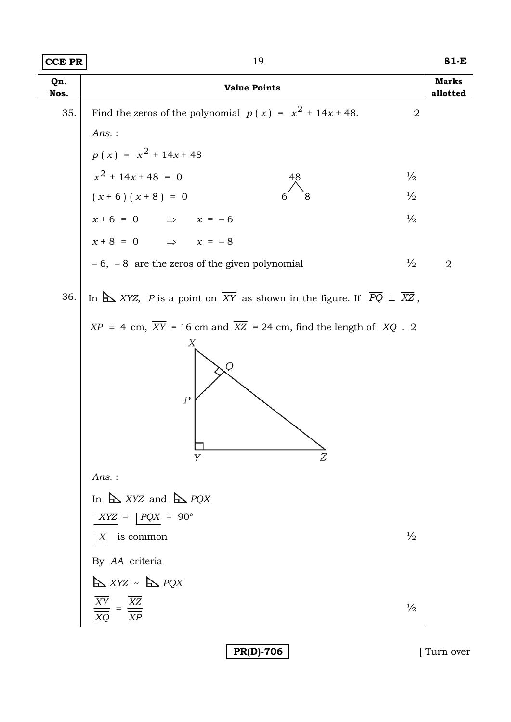| Qn.<br>Nos. | <b>Value Points</b>                                                                                                                                         | <b>Marks</b><br>allotted |
|-------------|-------------------------------------------------------------------------------------------------------------------------------------------------------------|--------------------------|
| 35.         | Find the zeros of the polynomial $p(x) = x^2 + 14x + 48$ .<br>$\overline{2}$                                                                                |                          |
|             | $Ans.$ :                                                                                                                                                    |                          |
|             | $p(x) = x^{2} + 14x + 48$                                                                                                                                   |                          |
|             | $x^2 + 14x + 48 = 0$<br>$\frac{1}{2}$<br>48                                                                                                                 |                          |
|             | $(x+6)(x+8) = 0$<br>$\frac{1}{2}$<br>8                                                                                                                      |                          |
|             | $x+6 = 0$ $\Rightarrow$ $x = -6$<br>$\frac{1}{2}$                                                                                                           |                          |
|             | $x+8 = 0$ $\Rightarrow$ $x = -8$                                                                                                                            |                          |
|             | $-6$ , $-8$ are the zeros of the given polynomial<br>$\frac{1}{2}$                                                                                          | $\overline{2}$           |
| 36.         | In $\Delta$ XYZ, P is a point on $\overline{XY}$ as shown in the figure. If $\overline{PQ} \perp \overline{XZ}$ ,                                           |                          |
|             | $\overline{XP}$ = 4 cm, $\overline{XY}$ = 16 cm and $\overline{XZ}$ = 24 cm, find the length of $\overline{XQ}$ . 2<br>Χ<br>Q<br>$\boldsymbol{P}$<br>Υ<br>Z |                          |
|             | $Ans.$ :                                                                                                                                                    |                          |
|             | In $\triangle$ XYZ and $\triangle$ PQX                                                                                                                      |                          |
|             | $XYZ =  PQX = 90^{\circ}$                                                                                                                                   |                          |
|             | $\frac{1}{2}$<br>$X$ is common                                                                                                                              |                          |
|             | By AA criteria                                                                                                                                              |                          |
|             | $\mathbf{X} \times \mathbf{X} \times \mathbf{X} \sim \mathbf{X} \times \mathbf{Y} \times \mathbf{Y}$                                                        |                          |
|             | $\frac{\overline{XY}}{XY}$<br>$\frac{\overline{XZ}}{1}$<br>$\frac{1}{2}$<br>XQ<br>XP                                                                        |                          |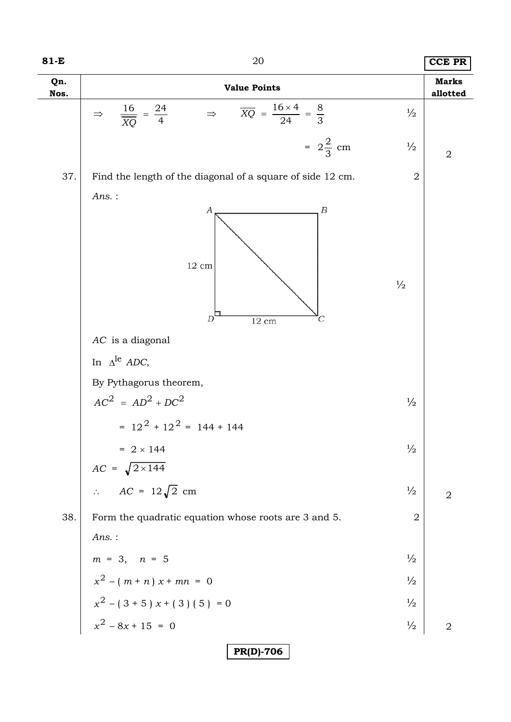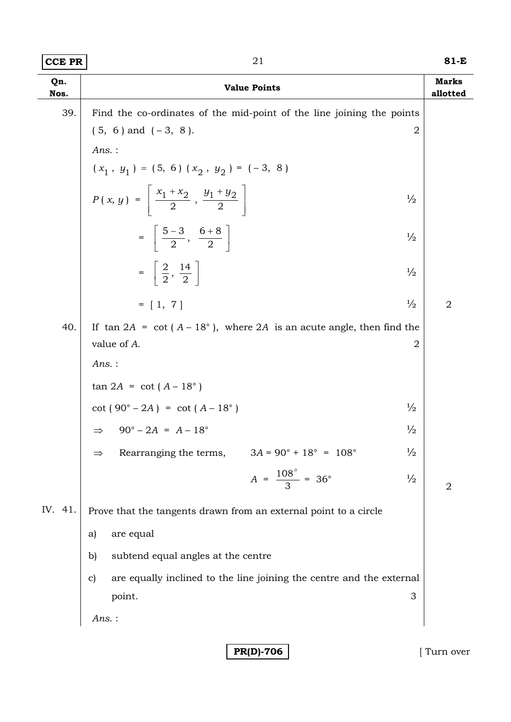| Qn.<br>Nos. | <b>Value Points</b>                                                                     | <b>Marks</b><br>allotted |
|-------------|-----------------------------------------------------------------------------------------|--------------------------|
| 39.         | Find the co-ordinates of the mid-point of the line joining the points                   |                          |
|             | $(5, 6)$ and $(-3, 8)$ .<br>$\overline{2}$                                              |                          |
|             | $Ans.$ :                                                                                |                          |
|             | $(x_1, y_1) = (5, 6) (x_2, y_2) = (-3, 8)$                                              |                          |
|             | $P(x, y) = \left  \frac{x_1 + x_2}{2}, \frac{y_1 + y_2}{2} \right $<br>$\frac{1}{2}$    |                          |
|             | $=\left[\frac{5-3}{2}, \frac{6+8}{2}\right]$<br>$\frac{1}{2}$                           |                          |
|             | $=\frac{2}{2},\frac{14}{2}$<br>$\frac{1}{2}$                                            |                          |
|             | $\frac{1}{2}$<br>$= [1, 7]$                                                             | $\overline{2}$           |
| 40.         | If $\tan 2A = \cot (A - 18^{\circ})$ , where 2A is an acute angle, then find the        |                          |
|             | value of A.<br>$\overline{2}$                                                           |                          |
|             | $Ans.$ :                                                                                |                          |
|             | $tan 2A = cot (A - 18°)$                                                                |                          |
|             | $\frac{1}{2}$<br>$\cot (90^\circ - 2A) = \cot (A - 18^\circ)$                           |                          |
|             | $90^{\circ} - 2A = A - 18^{\circ}$<br>$\frac{1}{2}$<br>$\Rightarrow$                    |                          |
|             | $\frac{1}{2}$<br>$3A = 90^{\circ} + 18^{\circ} = 108^{\circ}$<br>Rearranging the terms, |                          |
|             | $A = \frac{108^{\circ}}{3} = 36^{\circ}$<br>$\frac{1}{2}$                               | $\overline{2}$           |
| IV. 41.     | Prove that the tangents drawn from an external point to a circle                        |                          |
|             | are equal<br>a)                                                                         |                          |
|             | subtend equal angles at the centre<br>$\mathbf{b}$                                      |                          |
|             | are equally inclined to the line joining the centre and the external<br>$\mathbf{c}$    |                          |
|             | 3<br>point.                                                                             |                          |
|             | $Ans.$ :                                                                                |                          |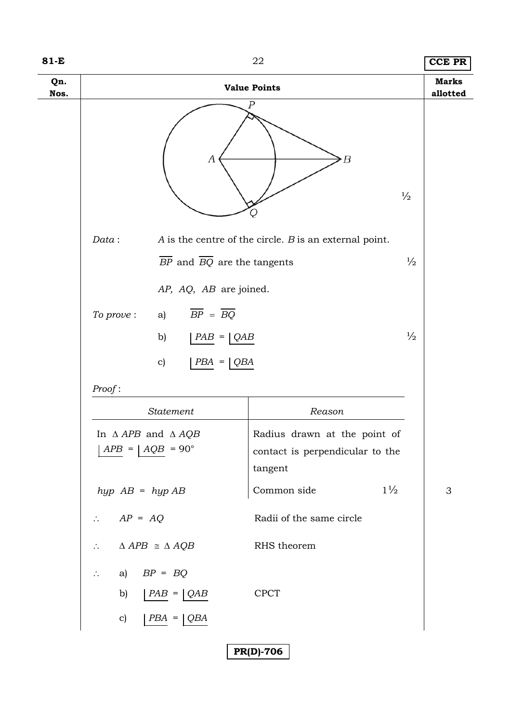| 81-E        |                                                                    | 22                                                         | <b>CCE PR</b>             |
|-------------|--------------------------------------------------------------------|------------------------------------------------------------|---------------------------|
| Qn.<br>Nos. | <b>Value Points</b>                                                |                                                            | <b>Marks</b><br>allotted  |
|             | Ρ<br>А                                                             | Β<br>$\frac{1}{2}$                                         |                           |
|             | Data:                                                              | $A$ is the centre of the circle. $B$ is an external point. |                           |
|             | $BP$ and $\overline{BQ}$ are the tangents                          | $\frac{1}{2}$                                              |                           |
|             | AP, AQ, AB are joined.                                             |                                                            |                           |
|             | $\overline{BP} = \overline{BQ}$<br>To prove:<br>a)                 |                                                            |                           |
|             | b)<br>$PAB =  QAB$                                                 | $\frac{1}{2}$                                              |                           |
|             | c)<br>$PBA =  QBA$                                                 |                                                            |                           |
|             | Proof:                                                             |                                                            |                           |
|             | Statement                                                          | Reason                                                     |                           |
|             | In $\triangle APB$ and $\triangle AQB$                             | Radius drawn at the point of                               |                           |
|             | $APB =   AOB = 90^\circ$                                           | contact is perpendicular to the<br>tangent                 |                           |
|             | $hyp$ $AB = hyp$ $AB$                                              | $1\frac{1}{2}$<br>Common side                              | $\ensuremath{\mathsf{3}}$ |
|             | $AP = AQ$<br>$\mathcal{L}_{\bullet}$                               | Radii of the same circle                                   |                           |
|             | $\triangle APB \cong \triangle AQB$<br>$\mathcal{L}_{\mathcal{C}}$ | RHS theorem                                                |                           |
|             | a) $BP = BQ$<br>$\mathcal{L}_{\bullet}$                            |                                                            |                           |
|             | b)<br>$  PAB =   QAB$                                              | <b>CPCT</b>                                                |                           |
|             | $\mathbf{c})$<br>$PBA = \bigcup QBA$                               |                                                            |                           |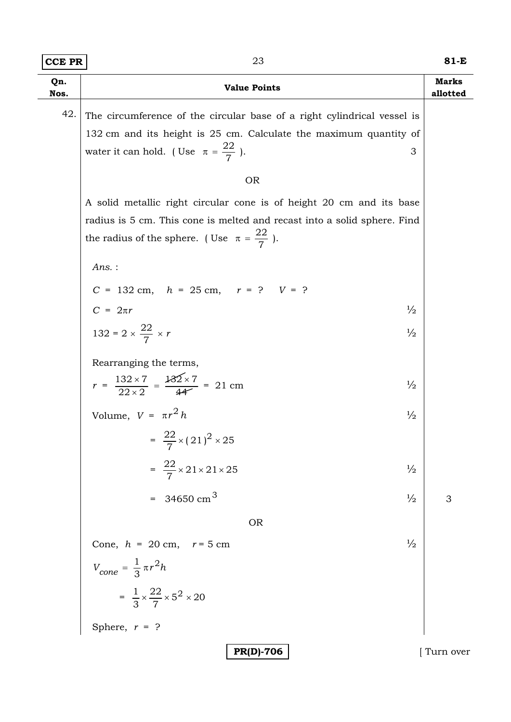| <b>CCE PR</b> | 23                                                                                                                                 | $81-E$                   |
|---------------|------------------------------------------------------------------------------------------------------------------------------------|--------------------------|
| Qn.<br>Nos.   | <b>Value Points</b>                                                                                                                | <b>Marks</b><br>allotted |
| 42.           | The circumference of the circular base of a right cylindrical vessel is                                                            |                          |
|               | 132 cm and its height is 25 cm. Calculate the maximum quantity of                                                                  |                          |
|               | water it can hold. (Use $\pi = \frac{22}{7}$ ).<br>3                                                                               |                          |
|               | <b>OR</b>                                                                                                                          |                          |
|               | A solid metallic right circular cone is of height 20 cm and its base                                                               |                          |
|               | radius is 5 cm. This cone is melted and recast into a solid sphere. Find<br>the radius of the sphere. (Use $\pi = \frac{22}{7}$ ). |                          |
|               | $Ans.$ :                                                                                                                           |                          |
|               | $C = 132$ cm, $h = 25$ cm, $r = ?$ $V = ?$                                                                                         |                          |
|               | $C = 2\pi r$<br>$\frac{1}{2}$                                                                                                      |                          |
|               | 132 = 2 $\times \frac{22}{7} \times r$<br>$\frac{1}{2}$                                                                            |                          |
|               | Rearranging the terms,                                                                                                             |                          |
|               | $r = \frac{132 \times 7}{22 \times 2} = \frac{132 \times 7}{44} = 21$ cm<br>$\frac{1}{2}$                                          |                          |
|               | Volume, $V = \pi r^2 h$<br>$\frac{1}{2}$                                                                                           |                          |
|               | $=\frac{22}{7}\times (21)^2 \times 25$                                                                                             |                          |
|               | $=\frac{22}{7} \times 21 \times 21 \times 25$<br>$\frac{1}{2}$                                                                     |                          |
|               | = 34650 cm <sup>3</sup><br>$\frac{1}{2}$                                                                                           | 3                        |
|               | <b>OR</b>                                                                                                                          |                          |
|               | $\frac{1}{2}$<br>Cone, $h = 20$ cm, $r = 5$ cm                                                                                     |                          |
|               | $V_{cone} = \frac{1}{3} \pi r^2 h$                                                                                                 |                          |
|               | $=\frac{1}{3} \times \frac{22}{7} \times 5^2 \times 20$                                                                            |                          |
|               | Sphere, $r = ?$                                                                                                                    |                          |
|               | <b>PR(D)-706</b>                                                                                                                   | Turn over                |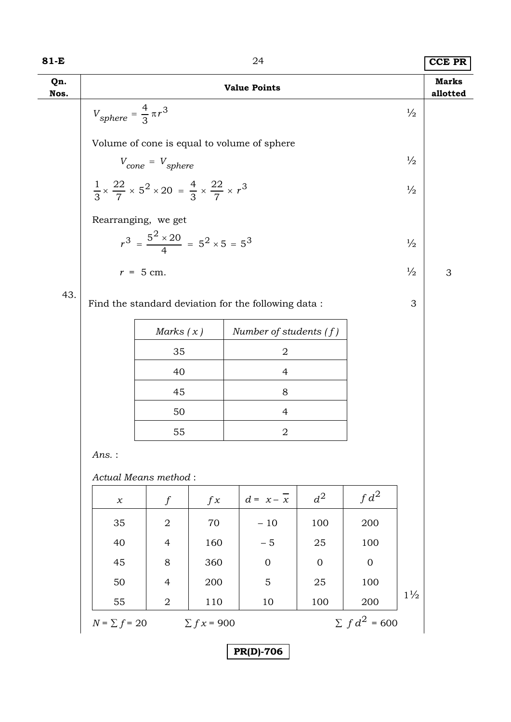| $81-E$      |                                                                                                     |                                                      |                 | 24                                                   |                |                      |                | <b>CCE PR</b>            |
|-------------|-----------------------------------------------------------------------------------------------------|------------------------------------------------------|-----------------|------------------------------------------------------|----------------|----------------------|----------------|--------------------------|
| Qn.<br>Nos. |                                                                                                     |                                                      |                 | <b>Value Points</b>                                  |                |                      |                | <b>Marks</b><br>allotted |
|             | $V_{sphere} = \frac{4}{3} \pi r^3$                                                                  |                                                      |                 |                                                      |                |                      | $\frac{1}{2}$  |                          |
|             | Volume of cone is equal to volume of sphere                                                         |                                                      |                 |                                                      |                |                      |                |                          |
|             |                                                                                                     | $V_{cone} = V_{sphere}$                              |                 |                                                      |                |                      | $\frac{1}{2}$  |                          |
|             | $\frac{1}{3} \times \frac{22}{7} \times 5^2 \times 20 = \frac{4}{3} \times \frac{22}{7} \times r^3$ |                                                      |                 |                                                      |                |                      | $\frac{1}{2}$  |                          |
|             | Rearranging, we get                                                                                 |                                                      |                 |                                                      |                |                      |                |                          |
|             |                                                                                                     | $r^3 = \frac{5^2 \times 20}{4} = 5^2 \times 5 = 5^3$ |                 |                                                      |                |                      | $\frac{1}{2}$  |                          |
|             | $r = 5$ cm.                                                                                         |                                                      |                 |                                                      |                |                      | $\frac{1}{2}$  | 3                        |
| 43.         |                                                                                                     |                                                      |                 |                                                      |                |                      |                |                          |
|             |                                                                                                     |                                                      |                 | Find the standard deviation for the following data : |                |                      | 3              |                          |
|             |                                                                                                     | Marks $(x)$                                          |                 | Number of students $(f)$                             |                |                      |                |                          |
|             |                                                                                                     | 35                                                   |                 | $\mathbf 2$                                          |                |                      |                |                          |
|             |                                                                                                     | 40                                                   |                 | $\overline{4}$<br>8                                  |                |                      |                |                          |
|             | 45<br>50<br>$\overline{4}$                                                                          |                                                      |                 |                                                      |                |                      |                |                          |
|             |                                                                                                     | 55                                                   |                 | $\boldsymbol{2}$                                     |                |                      |                |                          |
|             | Ans.:                                                                                               |                                                      |                 |                                                      |                |                      |                |                          |
|             | Actual Means method:                                                                                |                                                      |                 |                                                      |                |                      |                |                          |
|             | $\chi$                                                                                              | $\int$                                               | f x             | $d = x - \overline{x}$                               | $d^2$          | $fd^2$               |                |                          |
|             | 35                                                                                                  | $\overline{2}$                                       | 70              | $-10$                                                | 100            | 200                  |                |                          |
|             | 40                                                                                                  | $\overline{4}$                                       | 160             | $-5$                                                 | 25             | 100                  |                |                          |
|             | 45                                                                                                  | 8                                                    | 360             | $\mathbf{0}$                                         | $\overline{0}$ | $\mathbf{0}$         |                |                          |
|             | 50                                                                                                  | $\overline{4}$                                       | 200             | 5                                                    | 25             | 100                  | $1\frac{1}{2}$ |                          |
|             | 55                                                                                                  | $\overline{2}$                                       | 110             | 10                                                   | 100            | 200                  |                |                          |
|             | $N = \sum f = 20$                                                                                   |                                                      | $\sum fx = 900$ |                                                      |                | $\Sigma f d^2 = 600$ |                |                          |

| PR(D)-706 |
|-----------|
|-----------|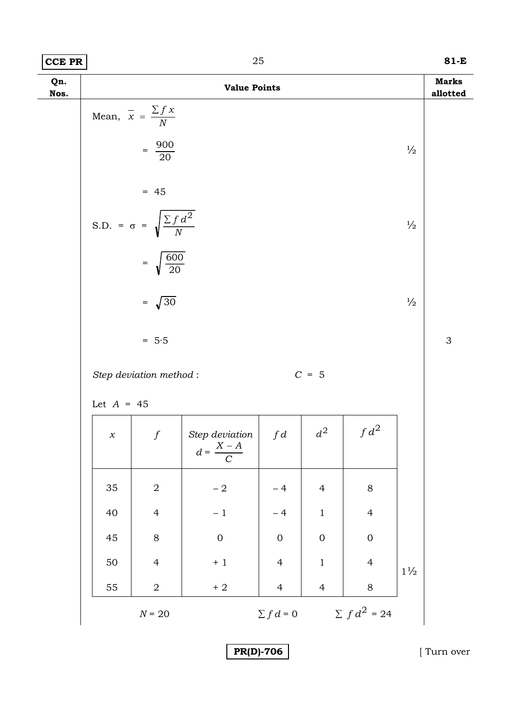| ገር<br>$ CCE$ PR | 81-E |
|-----------------|------|
|-----------------|------|

| Qn.<br>Nos. |              |                                                           | <b>Value Points</b>                  |                  |                  |                   |                | <b>Marks</b><br>allotted |
|-------------|--------------|-----------------------------------------------------------|--------------------------------------|------------------|------------------|-------------------|----------------|--------------------------|
|             |              | Mean, $\overline{x} = \frac{\sum fx}{N}$                  |                                      |                  |                  |                   |                |                          |
|             |              | $=\frac{900}{20}$                                         |                                      |                  |                  |                   | $\frac{1}{2}$  |                          |
|             |              | $= 45$<br>S.D. = $\sigma$ = $\sqrt{\frac{\sum f d^2}{N}}$ |                                      |                  |                  |                   | $\frac{1}{2}$  |                          |
|             |              | $=\sqrt{\frac{600}{20}}$<br>$=\sqrt{30}$                  |                                      |                  |                  |                   | $\frac{1}{2}$  |                          |
|             |              | $= 5.5$                                                   |                                      |                  |                  |                   |                | 3                        |
|             |              | Step deviation method:                                    |                                      |                  | $C = 5$          |                   |                |                          |
|             | Let $A = 45$ |                                                           |                                      |                  |                  |                   |                |                          |
|             | $\chi$       | $\boldsymbol{f}$                                          | Step deviation $d = \frac{X - A}{C}$ |                  | $d^2$            | $fd^2$            |                |                          |
|             | 35           | $\sqrt{2}$                                                | $-2$                                 | $-4$             | $\overline{4}$   | $8\,$             |                |                          |
|             | $40\,$       | $\overline{4}$                                            | $-1$                                 | $-4$             | $\,1$            | $\overline{4}$    |                |                          |
|             | 45           | $8\,$                                                     | $\mathbf 0$                          | $\boldsymbol{0}$ | $\boldsymbol{0}$ | $\boldsymbol{0}$  |                |                          |
|             | $50\,$       | $\overline{4}$                                            | $+1$                                 | $\overline{4}$   | $\mathbf 1$      | $\overline{4}$    | $1\frac{1}{2}$ |                          |
|             | 55           | $\mathbf 2$                                               | $\pm$ 2                              | $\overline{4}$   | $\overline{4}$   | $8\,$             |                |                          |
|             |              | $N \text{ = 20}$                                          |                                      | $\sum fd=0$      |                  | $\sum f d^2 = 24$ |                |                          |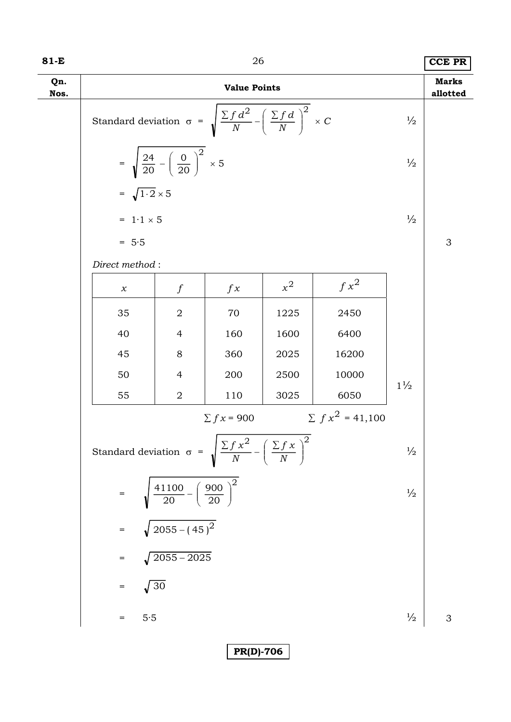| 81-E        |                                                                                             |                                                               | 26              |       |                      |                | <b>CCE PR</b> |  |
|-------------|---------------------------------------------------------------------------------------------|---------------------------------------------------------------|-----------------|-------|----------------------|----------------|---------------|--|
| Qn.<br>Nos. | <b>Value Points</b>                                                                         |                                                               |                 |       |                      |                |               |  |
|             | Standard deviation $\sigma = \sqrt{\frac{\sum f d^2}{N} - (\frac{\sum f d}{N})^2} \times C$ | $\frac{1}{2}$                                                 |                 |       |                      |                |               |  |
|             |                                                                                             | = $\sqrt{\frac{24}{20} - (\frac{0}{20})^2} \times 5$          |                 |       |                      | $\frac{1}{2}$  |               |  |
|             | $=\sqrt{1\cdot 2}\times 5$                                                                  |                                                               |                 |       |                      |                |               |  |
|             | $= 1.1 \times 5$                                                                            |                                                               |                 |       |                      | $\frac{1}{2}$  |               |  |
|             | $= 5.5$                                                                                     |                                                               |                 |       |                      |                | 3             |  |
|             | Direct method:                                                                              |                                                               |                 |       |                      |                |               |  |
|             | $\boldsymbol{\chi}$                                                                         | $\int$                                                        | f x             | $x^2$ | $f x^2$              |                |               |  |
|             | 35                                                                                          | $\overline{2}$                                                | 70              | 1225  | 2450                 |                |               |  |
|             | 40                                                                                          | $\overline{4}$                                                | 160             | 1600  | 6400                 |                |               |  |
|             | 45                                                                                          | $8\,$                                                         | 360             | 2025  | 16200                |                |               |  |
|             | 50                                                                                          | $\overline{4}$                                                | 200             | 2500  | 10000                | $1\frac{1}{2}$ |               |  |
|             | 55                                                                                          | $\sqrt{2}$                                                    | 110             | 3025  | 6050                 |                |               |  |
|             |                                                                                             |                                                               | $\sum fx = 900$ |       | $\sum fx^2 = 41,100$ |                |               |  |
|             | Standard deviation $\sigma = \sqrt{\frac{\sum f x^2}{N} - (\frac{\sum f x}{N})^2}$          |                                                               |                 |       |                      | $\frac{1}{2}$  |               |  |
|             |                                                                                             | $=$ $\sqrt{\frac{41100}{20} - \left(\frac{900}{20}\right)^2}$ |                 |       |                      | $\frac{1}{2}$  |               |  |
|             |                                                                                             | $=\sqrt{2055-(45)^2}$                                         |                 |       |                      |                |               |  |
|             |                                                                                             | $= \sqrt{2055-2025}$                                          |                 |       |                      |                |               |  |
|             | $=\sqrt{30}$                                                                                |                                                               |                 |       |                      |                |               |  |
|             | 5.5                                                                                         |                                                               |                 |       |                      | $\frac{1}{2}$  | 3             |  |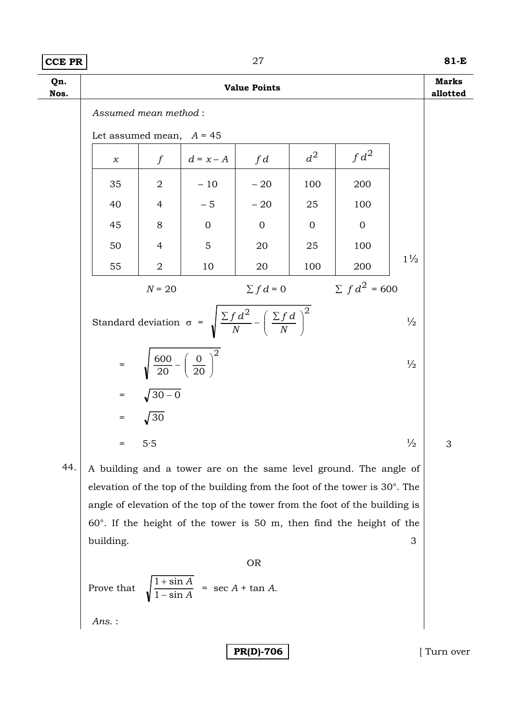### **CCE PR 81-E**

| Qn.<br>Nos. | <b>Value Points</b>                                                                                 |                                                     |                |                |                |                    |                | <b>Marks</b><br>allotted |
|-------------|-----------------------------------------------------------------------------------------------------|-----------------------------------------------------|----------------|----------------|----------------|--------------------|----------------|--------------------------|
|             | Assumed mean method:                                                                                |                                                     |                |                |                |                    |                |                          |
|             | Let assumed mean, $A = 45$                                                                          |                                                     |                |                |                |                    |                |                          |
|             | $\chi$                                                                                              | $\int$                                              | $d = x - A$    | fd             | $d^2$          | $fd^2$             |                |                          |
|             | 35                                                                                                  | $\overline{2}$                                      | $-10$          | $-20$          | 100            | 200                |                |                          |
|             | 40                                                                                                  | $\overline{4}$                                      | $-5$           | $-20$          | 25             | 100                |                |                          |
|             | 45                                                                                                  | 8                                                   | $\overline{0}$ | $\overline{0}$ | $\overline{0}$ | $\overline{0}$     |                |                          |
|             | 50                                                                                                  | $\overline{4}$                                      | 5              | 20             | 25             | 100                |                |                          |
|             | 55                                                                                                  | $\overline{2}$                                      | 10             | 20             | 100            | 200                | $1\frac{1}{2}$ |                          |
|             |                                                                                                     | $N = 20$                                            |                | $\sum f d = 0$ |                | $\sum f d^2 = 600$ |                |                          |
|             | Standard deviation $\sigma = \sqrt{\frac{\sum f d^2}{N} - (\frac{\sum f d}{N})^2}$<br>$\frac{1}{2}$ |                                                     |                |                |                |                    |                |                          |
|             | $=$                                                                                                 | $\sqrt{\frac{600}{20}-\left(\frac{0}{20}\right)^2}$ |                |                |                |                    | $\frac{1}{2}$  |                          |
|             |                                                                                                     | $=$ $\sqrt{30-0}$                                   |                |                |                |                    |                |                          |
|             |                                                                                                     | $=$ $\sqrt{30}$                                     |                |                |                |                    |                |                          |
|             | $=$                                                                                                 | 5.5                                                 |                |                |                |                    | $\frac{1}{2}$  | 3                        |

44. A building and a tower are on the same level ground. The angle of elevation of the top of the building from the foot of the tower is 30°. The angle of elevation of the top of the tower from the foot of the building is 60°. If the height of the tower is 50 m, then find the height of the building. 3

OR

Prove that 
$$
\sqrt{\frac{1 + \sin A}{1 - \sin A}}
$$
 = sec *A* + tan *A*.

*Ans.* :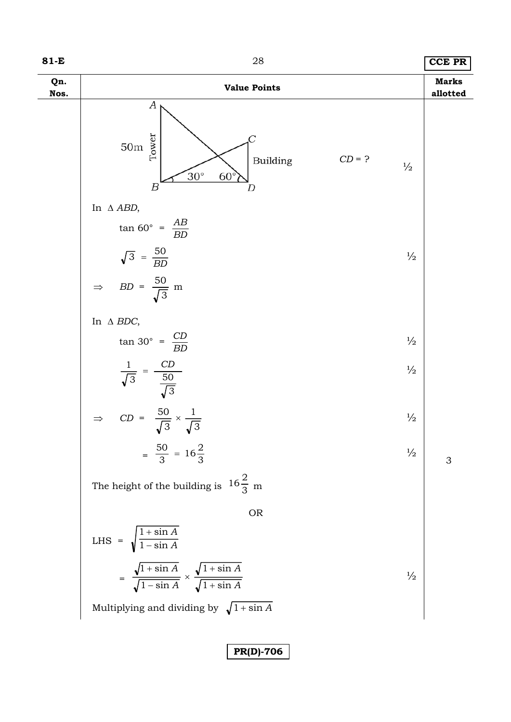| 81-E        | 28                                                                                                                           | <b>CCE PR</b>            |
|-------------|------------------------------------------------------------------------------------------------------------------------------|--------------------------|
| Qn.<br>Nos. | <b>Value Points</b>                                                                                                          | <b>Marks</b><br>allotted |
|             | А<br>Tower<br>50m<br>$CD = ?$<br>Building<br>$\frac{1}{2}$<br>$30^\circ$<br>$60^\circ$<br>$\boldsymbol{B}$<br>D              |                          |
|             | In $\triangle$ ABD,                                                                                                          |                          |
|             | $\tan 60^{\circ} = \frac{AB}{BD}$                                                                                            |                          |
|             | $\sqrt{3} = \frac{50}{BD}$<br>$\frac{1}{2}$                                                                                  |                          |
|             | $\Rightarrow$ BD = $\frac{50}{\sqrt{3}}$ m                                                                                   |                          |
|             | In $\Delta$ BDC,                                                                                                             |                          |
|             | $\tan 30^{\circ} = \frac{CD}{BD}$<br>$\frac{1}{2}$                                                                           |                          |
|             | $rac{1}{\sqrt{3}} = \frac{CD}{\frac{50}{\sqrt{3}}}$<br>$CD = \frac{50}{\sqrt{3}} \times \frac{1}{\sqrt{3}}$<br>$\frac{1}{2}$ |                          |
|             | $\frac{1}{2}$<br>$\Rightarrow$                                                                                               |                          |
|             | $=\frac{50}{3} = 16\frac{2}{3}$<br>$\frac{1}{2}$                                                                             | 3                        |
|             | The height of the building is $16\frac{2}{3}$ m                                                                              |                          |
|             | <b>OR</b>                                                                                                                    |                          |
|             | LHS = $\sqrt{\frac{1 + \sin A}{1 - \sin A}}$                                                                                 |                          |
|             | $= \frac{\sqrt{1+\sin A}}{\sqrt{1-\sin A}} \times \frac{\sqrt{1+\sin A}}{\sqrt{1+\sin A}}$<br>$\frac{1}{2}$                  |                          |
|             | Multiplying and dividing by $\sqrt{1 + \sin A}$                                                                              |                          |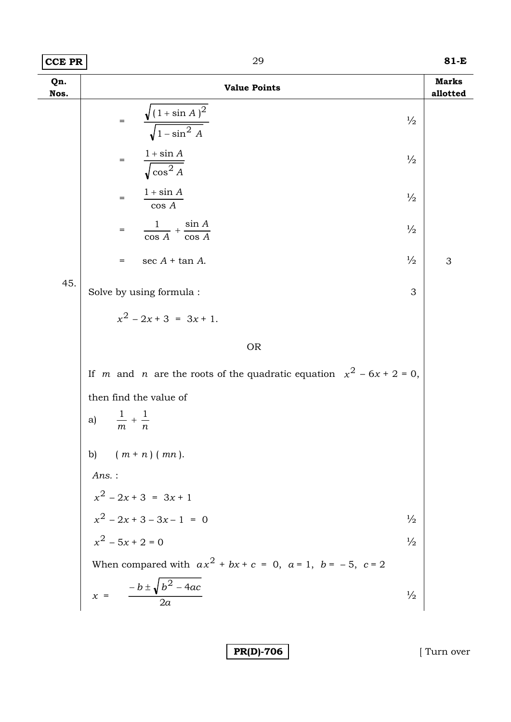| <b>CCE PR</b> | 29                                                                                    | 81-E                     |  |  |  |  |
|---------------|---------------------------------------------------------------------------------------|--------------------------|--|--|--|--|
| Qn.<br>Nos.   | <b>Value Points</b>                                                                   | <b>Marks</b><br>allotted |  |  |  |  |
|               | $\sqrt{(1+\sin A)^2}$<br>$\!=$<br>$\sqrt{1-\sin^2 A}$                                 | $\frac{1}{2}$            |  |  |  |  |
|               | $1 + \sin A$<br>$=$<br>$\sqrt{\cos^2 A}$                                              | $\frac{1}{2}$            |  |  |  |  |
|               | $1 + \sin A$<br>$=$<br>$\cos A$                                                       | $\frac{1}{2}$            |  |  |  |  |
|               | $+\frac{\sin A}{\cos A}$<br>$\frac{1}{ }$<br>$\frac{1}{\cos A}$<br>$=$                | $\frac{1}{2}$            |  |  |  |  |
|               | $\sec A + \tan A$ .<br>$=$                                                            | $\frac{1}{2}$<br>3       |  |  |  |  |
| 45.           | Solve by using formula :                                                              | 3                        |  |  |  |  |
|               | $x^2$ - 2x + 3 = 3x + 1.                                                              |                          |  |  |  |  |
|               | <b>OR</b>                                                                             |                          |  |  |  |  |
|               | If <i>m</i> and <i>n</i> are the roots of the quadratic equation $x^2 - 6x + 2 = 0$ , |                          |  |  |  |  |
|               | then find the value of                                                                |                          |  |  |  |  |
|               | $+1$<br>a)<br>$\boldsymbol{m}$<br>$\boldsymbol{n}$                                    |                          |  |  |  |  |
|               | b) $(m + n) (mn)$ .                                                                   |                          |  |  |  |  |
|               | $Ans.$ :                                                                              |                          |  |  |  |  |
|               |                                                                                       |                          |  |  |  |  |
|               | $x^2 - 2x + 3 = 3x + 1$<br>$x^2 - 2x + 3 - 3x - 1 = 0$<br>$x^2 - 5x + 2 = 0$          | $\frac{1}{2}$            |  |  |  |  |
|               |                                                                                       | $\frac{1}{2}$            |  |  |  |  |
|               | When compared with $ax^2 + bx + c = 0$ , $a = 1$ , $b = -5$ , $c = 2$                 |                          |  |  |  |  |
|               | $x = \frac{-b \pm \sqrt{b^2 - 4ac}}{2a}$                                              | $\frac{1}{2}$            |  |  |  |  |
|               |                                                                                       |                          |  |  |  |  |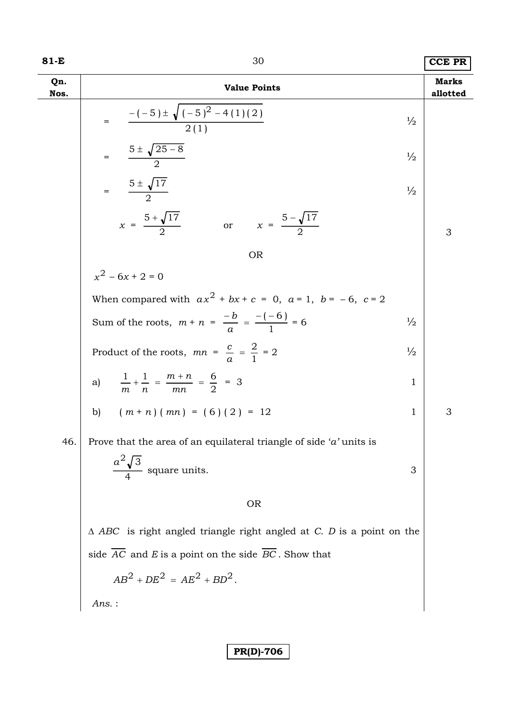| 81-E        | 30                                                                              |               | <b>CCE PR</b>            |
|-------------|---------------------------------------------------------------------------------|---------------|--------------------------|
| Qn.<br>Nos. | <b>Value Points</b>                                                             |               | <b>Marks</b><br>allotted |
|             | $\frac{-(-5) \pm \sqrt{(-5)^2 - 4(1)(2)}}{2(1)}$<br>$=$                         | $\frac{1}{2}$ |                          |
|             | $=\frac{5\pm\sqrt{25-8}}{2}$                                                    | $\frac{1}{2}$ |                          |
|             | $=\frac{5 \pm \sqrt{17}}{2}$                                                    | $\frac{1}{2}$ |                          |
|             | $x = \frac{5 + \sqrt{17}}{2}$<br>or $x = \frac{5 - \sqrt{17}}{2}$               |               | 3                        |
|             | <b>OR</b>                                                                       |               |                          |
|             | $x^2 - 6x + 2 = 0$                                                              |               |                          |
|             | When compared with $ax^2 + bx + c = 0$ , $a = 1$ , $b = -6$ , $c = 2$           |               |                          |
|             | Sum of the roots, $m + n = \frac{-b}{a} = \frac{-(-6)}{1} = 6$                  | $\frac{1}{2}$ |                          |
|             | Product of the roots, $mn = \frac{c}{a} = \frac{2}{1} = 2$                      | $\frac{1}{2}$ |                          |
|             | a) $\frac{1}{m} + \frac{1}{n} = \frac{m+n}{mn} = \frac{6}{2} = 3$               | $\mathbf{1}$  |                          |
|             | b) $(m+n)(mn) = (6)(2) = 12$                                                    | $\mathbf{1}$  | 3                        |
| 46.         | Prove that the area of an equilateral triangle of side ' $a$ ' units is         |               |                          |
|             | $\frac{a^2\sqrt{3}}{2}$<br>square units.                                        | 3             |                          |
|             | <b>OR</b>                                                                       |               |                          |
|             | $\triangle$ ABC is right angled triangle right angled at C. D is a point on the |               |                          |
|             | side $\overline{AC}$ and E is a point on the side $\overline{BC}$ . Show that   |               |                          |
|             | $AB^{2} + DE^{2} = AE^{2} + BD^{2}$ .                                           |               |                          |
|             | $Ans.$ :                                                                        |               |                          |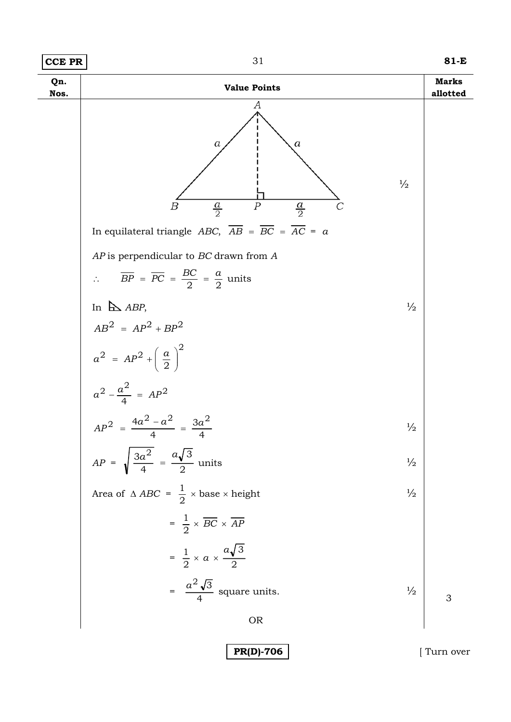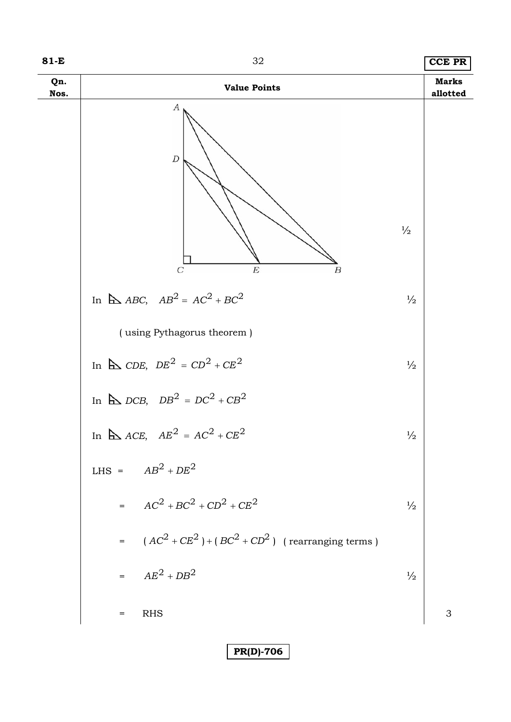**81-E** 32 **CCE PR**

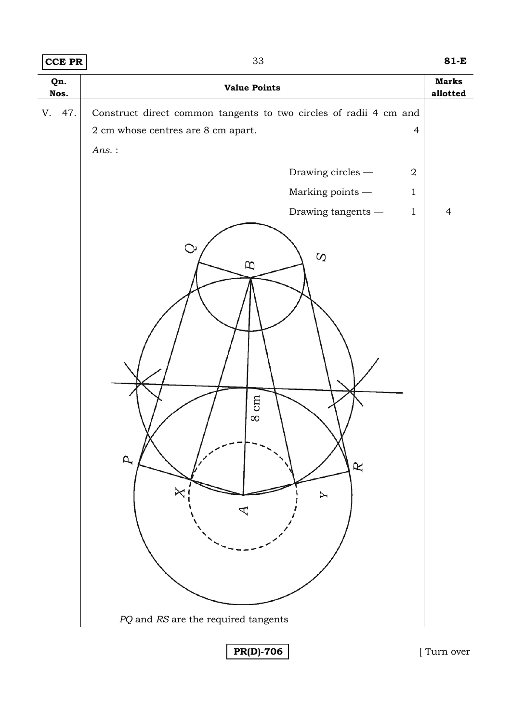| <b>CCE PR</b> | 33                                                                                                                                                                                                                                                                                                                        | $81-E$                                     |  |
|---------------|---------------------------------------------------------------------------------------------------------------------------------------------------------------------------------------------------------------------------------------------------------------------------------------------------------------------------|--------------------------------------------|--|
| Qn.<br>Nos.   | <b>Value Points</b>                                                                                                                                                                                                                                                                                                       |                                            |  |
| 47.<br>V.     | Construct direct common tangents to two circles of radii 4 cm and<br>$2\ {\rm cm}$ whose centres are $8\ {\rm cm}$ apart.<br>$\overline{4}$<br>Ans.:<br>Drawing circles $-$<br>$\boldsymbol{2}$<br>Marking points $-\,$<br>$\mathbf{1}$<br>Drawing tangents $-\,$<br>$\mathbf{1}$<br>Ò<br>$\Omega$<br>B<br>cm<br>$\infty$ | <b>Marks</b><br>allotted<br>$\overline{4}$ |  |
|               | $\overline{p}$<br>R<br>╳<br>Y<br>$PQ$ and $RS$ are the required tangents                                                                                                                                                                                                                                                  |                                            |  |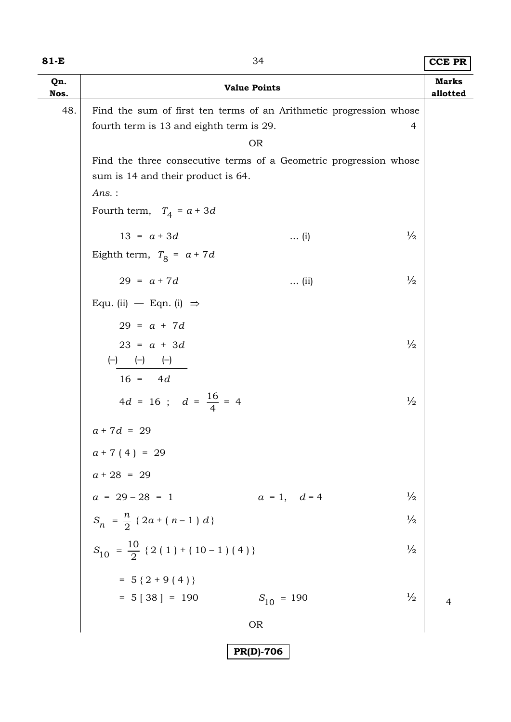| ۰,<br>×<br>۰. |  |  |
|---------------|--|--|
|---------------|--|--|

## 84 **CCE PR**

| Qn.<br>Nos. |                                                                                                                | <b>Value Points</b> |               | <b>Marks</b><br>allotted |
|-------------|----------------------------------------------------------------------------------------------------------------|---------------------|---------------|--------------------------|
| 48.         | Find the sum of first ten terms of an Arithmetic progression whose<br>fourth term is 13 and eighth term is 29. | <b>OR</b>           | 4             |                          |
|             | Find the three consecutive terms of a Geometric progression whose<br>sum is 14 and their product is 64.        |                     |               |                          |
|             | Ans.:<br>Fourth term, $T_4 = a + 3d$                                                                           |                     |               |                          |
|             | $13 = a + 3d$<br>Eighth term, $T_8 = a + 7d$                                                                   | $\ldots$ (i)        | $\frac{1}{2}$ |                          |
|             | $29 = a + 7d$                                                                                                  | $\ldots$ (ii)       | $\frac{1}{2}$ |                          |
|             | Equ. (ii) $-$ Eqn. (i) $\Rightarrow$<br>$29 = a + 7d$                                                          |                     |               |                          |
|             | $23 = a + 3d$<br>$\begin{matrix} (-) & (-) & (-) \end{matrix}$<br>$16 = 4d$                                    |                     | $\frac{1}{2}$ |                          |
|             | $4d = 16$ ; $d = \frac{16}{4} = 4$                                                                             |                     | $\frac{1}{2}$ |                          |
|             | $a + 7d = 29$<br>$a + 7(4) = 29$                                                                               |                     |               |                          |
|             | $a + 28 = 29$<br>$a = 29 - 28 = 1$                                                                             | $a = 1, d = 4$      | $\frac{1}{2}$ |                          |
|             | $S_n = \frac{n}{2} \{2a + (n-1) d\}$                                                                           |                     | $\frac{1}{2}$ |                          |
|             | $S_{10} = \frac{10}{2}$ { 2 ( 1 ) + ( 10 – 1 ) ( 4 ) }                                                         |                     | $\frac{1}{2}$ |                          |
|             | $= 5 {2 + 9 (4)}$<br>$= 5 [38] = 190$                                                                          | $S_{10} = 190$      | $\frac{1}{2}$ | $\overline{4}$           |
|             |                                                                                                                | <b>OR</b>           |               |                          |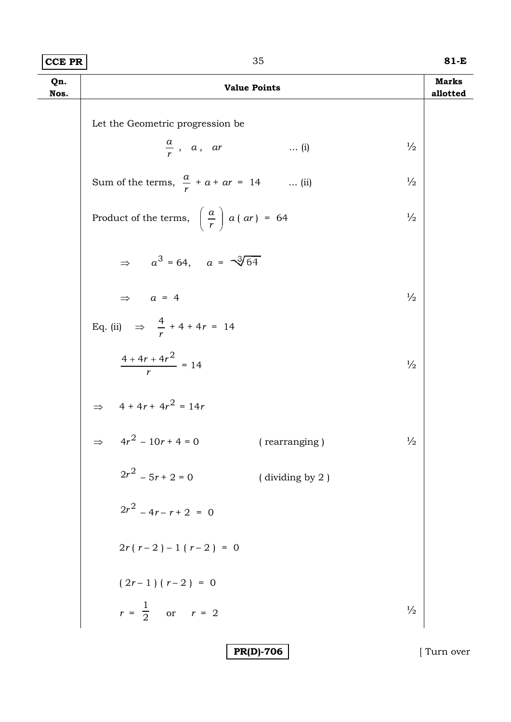| $81-E$<br>$ CCE$ PR $ $<br>. |
|------------------------------|
|------------------------------|

| Qn.<br>Nos. | <b>Value Points</b>                                          |               | <b>Marks</b><br>allotted |
|-------------|--------------------------------------------------------------|---------------|--------------------------|
|             | Let the Geometric progression be                             |               |                          |
|             | $\frac{a}{r}$ , a, ar<br>$\ldots$ (i)                        | $\frac{1}{2}$ |                          |
|             | Sum of the terms, $\frac{a}{r} + a + ar = 14$ (ii)           | $\frac{1}{2}$ |                          |
|             | Product of the terms, $\left(\frac{a}{r}\right) a (ar) = 64$ | $\frac{1}{2}$ |                          |
|             | $\Rightarrow a^3 = 64$ , $a = \sqrt[3]{64}$                  |               |                          |
|             | $\Rightarrow$ $a = 4$                                        | $\frac{1}{2}$ |                          |
|             | Eq. (ii) $\Rightarrow$ $\frac{4}{r}$ + 4 + 4 r = 14          |               |                          |
|             | $\frac{4+4r+4r^2}{r}=14$                                     | $\frac{1}{2}$ |                          |
|             | ⇒ $4 + 4r + 4r^2 = 14r$<br>⇒ $4r^2 - 10r + 4 = 0$            |               |                          |
|             | (rearranging)                                                | $\frac{1}{2}$ |                          |
|             | $2r^2 - 5r + 2 = 0$<br>(dividing by 2)                       |               |                          |
|             | $2r^2 - 4r - r + 2 = 0$                                      |               |                          |
|             | $2r(r-2)-1(r-2) = 0$                                         |               |                          |
|             | $(2r-1)(r-2) = 0$                                            |               |                          |
|             | $r = \frac{1}{2}$ or $r = 2$                                 | $\frac{1}{2}$ |                          |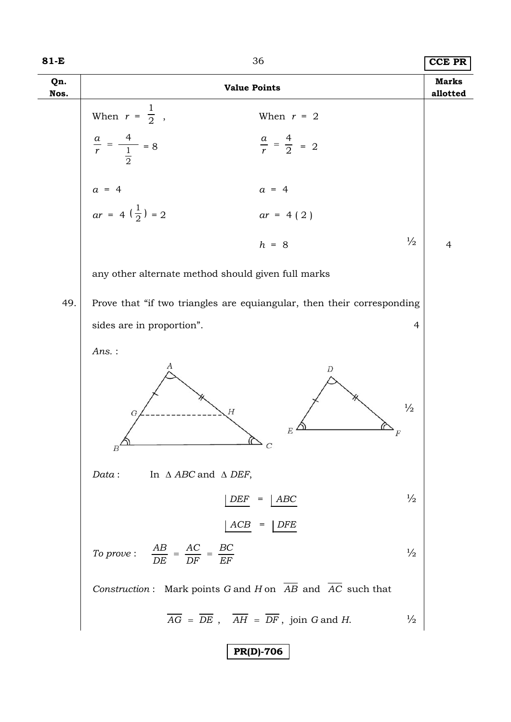| 81-E        | 36                                                                                                                       | <b>CCE PR</b>                   |  |
|-------------|--------------------------------------------------------------------------------------------------------------------------|---------------------------------|--|
| Qn.<br>Nos. | <b>Value Points</b>                                                                                                      | <b>Marks</b><br>allotted        |  |
|             | When $r = \frac{1}{2}$ ,<br>When $r = 2$<br>$\frac{a}{r} = \frac{4}{\frac{1}{2}} = 8$<br>$\frac{a}{r} = \frac{4}{2} = 2$ |                                 |  |
|             | $a = 4$<br>$a = 4$<br>$ar = 4\left(\frac{1}{2}\right) = 2$<br>$ar = 4(2)$                                                |                                 |  |
|             | $h = 8$                                                                                                                  | $\frac{1}{2}$<br>$\overline{4}$ |  |
|             | any other alternate method should given full marks                                                                       |                                 |  |
| 49.         | Prove that "if two triangles are equiangular, then their corresponding                                                   |                                 |  |
|             | sides are in proportion".                                                                                                | $\overline{4}$                  |  |
|             | $Ans.$ :                                                                                                                 |                                 |  |
|             | А<br>D<br>$\frac{1}{2}$<br>Н<br>G<br>$\boldsymbol{E}$<br>$\sqrt{C}$<br>$B^{\triangle}$                                   |                                 |  |
|             | In $\triangle$ ABC and $\triangle$ DEF,<br>Data:                                                                         |                                 |  |
|             | ABC<br>DEF<br>=                                                                                                          | $\frac{1}{2}$                   |  |
|             | ACB <br><b>DFE</b>                                                                                                       |                                 |  |
|             | To prove: $\frac{AB}{DE} = \frac{AC}{DF} = \frac{BC}{EF}$                                                                | $\frac{1}{2}$                   |  |
|             | Construction: Mark points G and H on AB and AC such that                                                                 |                                 |  |
|             | $\overline{AG}$ = $\overline{DE}$ , $\overline{AH}$ = $\overline{DF}$ , join G and H.                                    | $\frac{1}{2}$                   |  |
|             | <b>PR(D)-706</b>                                                                                                         |                                 |  |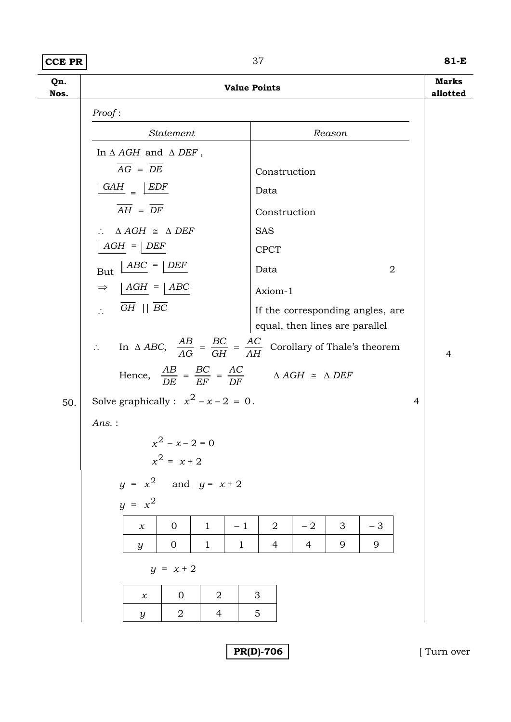### **CCE PR** 81-E

**Qn. Nos. Value Points Marks allotted**  *Proof* : *Statement Reason*  In Δ *AGH* and Δ *DEF* ,  $\overline{AG} = \overline{DE}$  Construction  $\frac{GAH}{A}$  =  $\frac{EDF}{B}$  Data  $\overline{AH} = \overline{DF}$  Construction ∴  $\triangle AGH \cong \triangle DEF$  SAS  $\boxed{AGH} = \boxed{DEF}$  CPCT  $But \ \frac{\text{ABC}}{\text{D}} = \frac{\text{DEF}}{\text{D}}$  Data 2  $\Rightarrow$   $\begin{array}{c|c}\n\end{array} \begin{array}{c}\n\end{array} \begin{array}{c}\n\end{array} \begin{array}{c}\n\end{array} \begin{array}{c}\n\end{array} \begin{array}{c}\n\end{array} \begin{array}{c}\n\end{array} \begin{array}{c}\n\end{array} \begin{array}{c}\n\end{array} \begin{array}{c}\n\end{array} \begin{array}{c}\n\end{array} \begin{array}{c}\n\end{array} \begin{array}{c}\n\end{array} \begin{array}{c}\n\end{array} \begin{array}{c}\n\end{array} \begin{array}{c}\n\end{array} \begin{array}{$  $\overline{GH}$  ||  $\overline{BC}$  If the corresponding angles, are equal, then lines are parallel ∴ In  $\triangle ABC$ ,  $\frac{AB}{AG} = \frac{BC}{GH} = \frac{AC}{AH}$ *GH BC*  $\frac{AB}{AG} = \frac{BC}{GH} = \frac{AC}{AH}$  Corollary of Thale's theorem 4 Hence,  $\frac{AB}{DE} = \frac{BC}{EF} = \frac{AC}{DF}$ *EF BC*  $\frac{AB}{DE} = \frac{BC}{EF} = \frac{AC}{DF}$   $\Delta AGH \cong \Delta DEF$ 50. Solve graphically :  $x^2 - x - 2 = 0$ . 4 *Ans.* :  $x^2 - x - 2 = 0$  $x^2 = x + 2$  $y = x^2$  and  $y = x + 2$  $y = x^2$ *x* | 0 | 1 | -1 | 2 | -2 | 3 | -3 *y* | 0 | 1 | 1 | 4 | 4 | 9 | 9  $y = x + 2$ *x* 0 2 3 *y* 2 4 5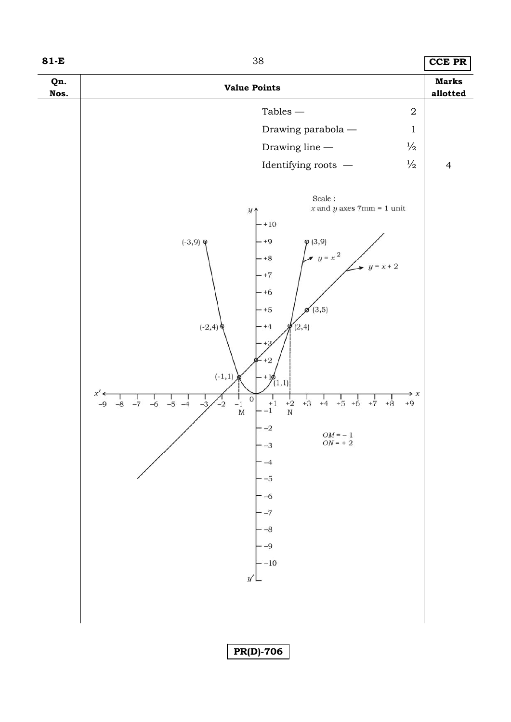| I<br>×<br>۰. |  |  |
|--------------|--|--|
|--------------|--|--|

**81-E** 38 **CCE PR**